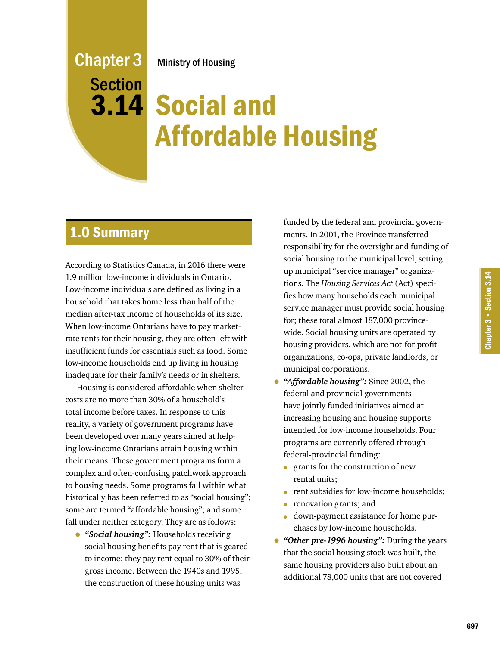# Ministry of Housing

Chapter 3 **Section** 

# 3.14 Social and Affordable Housing

# 1.0 Summary

According to Statistics Canada, in 2016 there were 1.9 million low-income individuals in Ontario. Low-income individuals are defined as living in a household that takes home less than half of the median after-tax income of households of its size. When low-income Ontarians have to pay marketrate rents for their housing, they are often left with insufficient funds for essentials such as food. Some low-income households end up living in housing inadequate for their family's needs or in shelters.

Housing is considered affordable when shelter costs are no more than 30% of a household's total income before taxes. In response to this reality, a variety of government programs have been developed over many years aimed at helping low-income Ontarians attain housing within their means. These government programs form a complex and often-confusing patchwork approach to housing needs. Some programs fall within what historically has been referred to as "social housing"; some are termed "affordable housing"; and some fall under neither category. They are as follows:

• *"Social housing":* Households receiving social housing benefits pay rent that is geared to income: they pay rent equal to 30% of their gross income. Between the 1940s and 1995, the construction of these housing units was

funded by the federal and provincial governments. In 2001, the Province transferred responsibility for the oversight and funding of social housing to the municipal level, setting up municipal "service manager" organizations. The *Housing Services Act* (Act) specifies how many households each municipal service manager must provide social housing for; these total almost 187,000 provincewide. Social housing units are operated by housing providers, which are not-for-profit organizations, co-ops, private landlords, or municipal corporations.

- *"Affordable housing":* Since 2002, the federal and provincial governments have jointly funded initiatives aimed at increasing housing and housing supports intended for low-income households. Four programs are currently offered through federal-provincial funding:
	- grants for the construction of new rental units;
	- rent subsidies for low-income households;
	- renovation grants; and
	- down-payment assistance for home purchases by low-income households.
- *"Other pre-1996 housing":* During the years that the social housing stock was built, the same housing providers also built about an additional 78,000 units that are not covered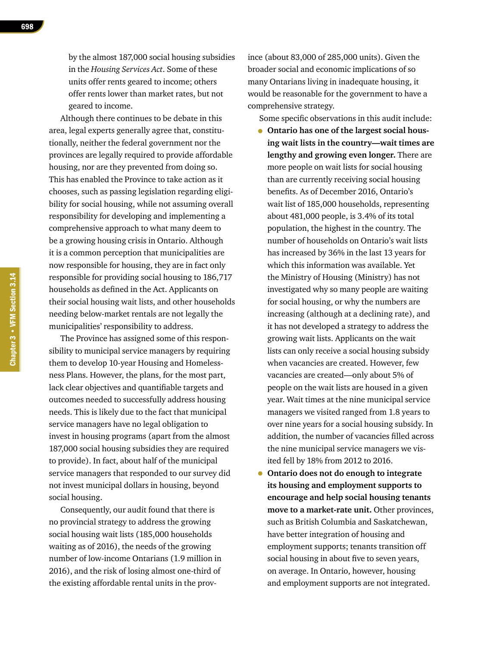by the almost 187,000 social housing subsidies in the *Housing Services Act*. Some of these units offer rents geared to income; others offer rents lower than market rates, but not geared to income.

Although there continues to be debate in this area, legal experts generally agree that, constitutionally, neither the federal government nor the provinces are legally required to provide affordable housing, nor are they prevented from doing so. This has enabled the Province to take action as it chooses, such as passing legislation regarding eligibility for social housing, while not assuming overall responsibility for developing and implementing a comprehensive approach to what many deem to be a growing housing crisis in Ontario. Although it is a common perception that municipalities are now responsible for housing, they are in fact only responsible for providing social housing to 186,717 households as defined in the Act. Applicants on their social housing wait lists, and other households needing below-market rentals are not legally the municipalities' responsibility to address.

The Province has assigned some of this responsibility to municipal service managers by requiring them to develop 10-year Housing and Homelessness Plans. However, the plans, for the most part, lack clear objectives and quantifiable targets and outcomes needed to successfully address housing needs. This is likely due to the fact that municipal service managers have no legal obligation to invest in housing programs (apart from the almost 187,000 social housing subsidies they are required to provide). In fact, about half of the municipal service managers that responded to our survey did not invest municipal dollars in housing, beyond social housing.

Consequently, our audit found that there is no provincial strategy to address the growing social housing wait lists (185,000 households waiting as of 2016), the needs of the growing number of low-income Ontarians (1.9 million in 2016), and the risk of losing almost one-third of the existing affordable rental units in the province (about 83,000 of 285,000 units). Given the broader social and economic implications of so many Ontarians living in inadequate housing, it would be reasonable for the government to have a comprehensive strategy.

Some specific observations in this audit include:

- **Ontario has one of the largest social housing wait lists in the country—wait times are lengthy and growing even longer.** There are more people on wait lists for social housing than are currently receiving social housing benefits. As of December 2016, Ontario's wait list of 185,000 households, representing about 481,000 people, is 3.4% of its total population, the highest in the country. The number of households on Ontario's wait lists has increased by 36% in the last 13 years for which this information was available. Yet the Ministry of Housing (Ministry) has not investigated why so many people are waiting for social housing, or why the numbers are increasing (although at a declining rate), and it has not developed a strategy to address the growing wait lists. Applicants on the wait lists can only receive a social housing subsidy when vacancies are created. However, few vacancies are created—only about 5% of people on the wait lists are housed in a given year. Wait times at the nine municipal service managers we visited ranged from 1.8 years to over nine years for a social housing subsidy. In addition, the number of vacancies filled across the nine municipal service managers we visited fell by 18% from 2012 to 2016.
- **Ontario does not do enough to integrate its housing and employment supports to encourage and help social housing tenants move to a market-rate unit.** Other provinces, such as British Columbia and Saskatchewan, have better integration of housing and employment supports; tenants transition off social housing in about five to seven years, on average. In Ontario, however, housing and employment supports are not integrated.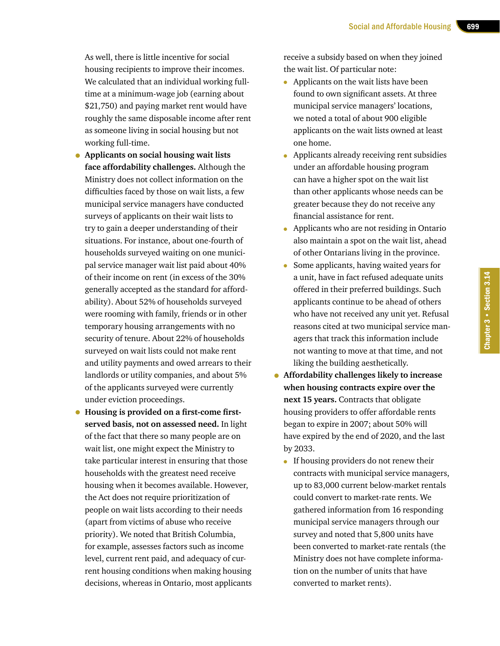As well, there is little incentive for social housing recipients to improve their incomes. We calculated that an individual working fulltime at a minimum-wage job (earning about \$21,750) and paying market rent would have roughly the same disposable income after rent as someone living in social housing but not working full-time.

- **Applicants on social housing wait lists face affordability challenges.** Although the Ministry does not collect information on the difficulties faced by those on wait lists, a few municipal service managers have conducted surveys of applicants on their wait lists to try to gain a deeper understanding of their situations. For instance, about one-fourth of households surveyed waiting on one municipal service manager wait list paid about 40% of their income on rent (in excess of the 30% generally accepted as the standard for affordability). About 52% of households surveyed were rooming with family, friends or in other temporary housing arrangements with no security of tenure. About 22% of households surveyed on wait lists could not make rent and utility payments and owed arrears to their landlords or utility companies, and about 5% of the applicants surveyed were currently under eviction proceedings.
- **Housing is provided on a first-come firstserved basis, not on assessed need.** In light of the fact that there so many people are on wait list, one might expect the Ministry to take particular interest in ensuring that those households with the greatest need receive housing when it becomes available. However, the Act does not require prioritization of people on wait lists according to their needs (apart from victims of abuse who receive priority). We noted that British Columbia, for example, assesses factors such as income level, current rent paid, and adequacy of current housing conditions when making housing decisions, whereas in Ontario, most applicants

receive a subsidy based on when they joined the wait list. Of particular note:

- Applicants on the wait lists have been found to own significant assets. At three municipal service managers' locations, we noted a total of about 900 eligible applicants on the wait lists owned at least one home.
- Applicants already receiving rent subsidies under an affordable housing program can have a higher spot on the wait list than other applicants whose needs can be greater because they do not receive any financial assistance for rent.
- Applicants who are not residing in Ontario also maintain a spot on the wait list, ahead of other Ontarians living in the province.
- Some applicants, having waited years for a unit, have in fact refused adequate units offered in their preferred buildings. Such applicants continue to be ahead of others who have not received any unit yet. Refusal reasons cited at two municipal service managers that track this information include not wanting to move at that time, and not liking the building aesthetically.
- **Affordability challenges likely to increase when housing contracts expire over the next 15 years.** Contracts that obligate housing providers to offer affordable rents began to expire in 2007; about 50% will have expired by the end of 2020, and the last by 2033.
	- If housing providers do not renew their contracts with municipal service managers, up to 83,000 current below-market rentals could convert to market-rate rents. We gathered information from 16 responding municipal service managers through our survey and noted that 5,800 units have been converted to market-rate rentals (the Ministry does not have complete information on the number of units that have converted to market rents).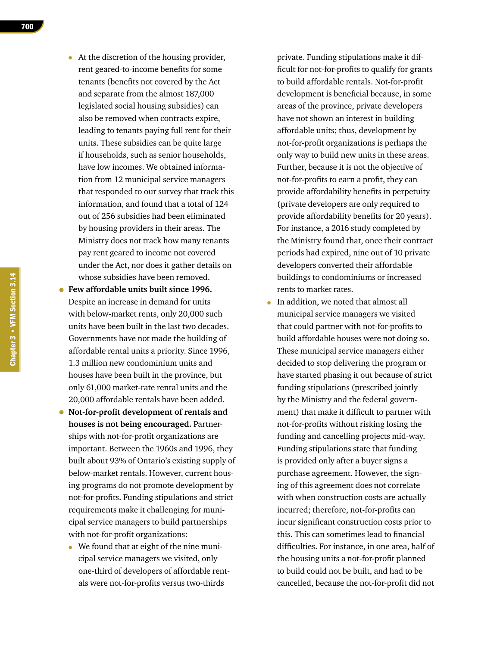- At the discretion of the housing provider, rent geared-to-income benefits for some tenants (benefits not covered by the Act and separate from the almost 187,000 legislated social housing subsidies) can also be removed when contracts expire, leading to tenants paying full rent for their units. These subsidies can be quite large if households, such as senior households, have low incomes. We obtained information from 12 municipal service managers that responded to our survey that track this information, and found that a total of 124 out of 256 subsidies had been eliminated by housing providers in their areas. The Ministry does not track how many tenants pay rent geared to income not covered under the Act, nor does it gather details on whose subsidies have been removed.
- **Few affordable units built since 1996.**  Despite an increase in demand for units with below-market rents, only 20,000 such units have been built in the last two decades. Governments have not made the building of affordable rental units a priority. Since 1996, 1.3 million new condominium units and houses have been built in the province, but only 61,000 market-rate rental units and the 20,000 affordable rentals have been added.
- **Not-for-profit development of rentals and houses is not being encouraged.** Partnerships with not-for-profit organizations are important. Between the 1960s and 1996, they built about 93% of Ontario's existing supply of below-market rentals. However, current housing programs do not promote development by not-for-profits. Funding stipulations and strict requirements make it challenging for municipal service managers to build partnerships with not-for-profit organizations:
	- We found that at eight of the nine municipal service managers we visited, only one-third of developers of affordable rentals were not-for-profits versus two-thirds

private. Funding stipulations make it difficult for not-for-profits to qualify for grants to build affordable rentals. Not-for-profit development is beneficial because, in some areas of the province, private developers have not shown an interest in building affordable units; thus, development by not-for-profit organizations is perhaps the only way to build new units in these areas. Further, because it is not the objective of not-for-profits to earn a profit, they can provide affordability benefits in perpetuity (private developers are only required to provide affordability benefits for 20 years). For instance, a 2016 study completed by the Ministry found that, once their contract periods had expired, nine out of 10 private developers converted their affordable buildings to condominiums or increased rents to market rates.

• In addition, we noted that almost all municipal service managers we visited that could partner with not-for-profits to build affordable houses were not doing so. These municipal service managers either decided to stop delivering the program or have started phasing it out because of strict funding stipulations (prescribed jointly by the Ministry and the federal government) that make it difficult to partner with not-for-profits without risking losing the funding and cancelling projects mid-way. Funding stipulations state that funding is provided only after a buyer signs a purchase agreement. However, the signing of this agreement does not correlate with when construction costs are actually incurred; therefore, not-for-profits can incur significant construction costs prior to this. This can sometimes lead to financial difficulties. For instance, in one area, half of the housing units a not-for-profit planned to build could not be built, and had to be cancelled, because the not-for-profit did not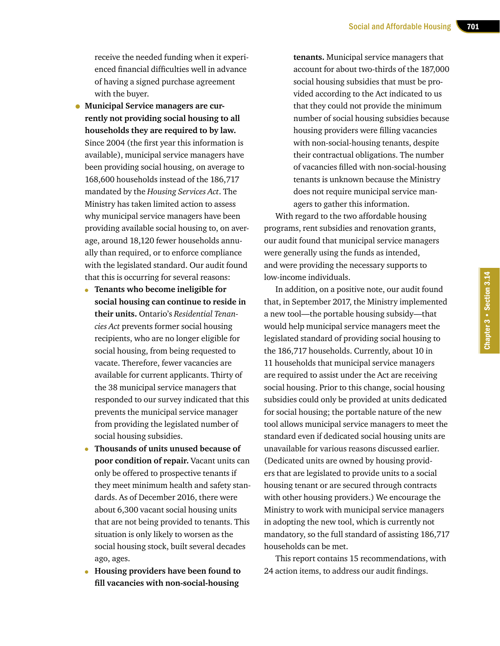receive the needed funding when it experienced financial difficulties well in advance of having a signed purchase agreement with the buyer.

- **Municipal Service managers are currently not providing social housing to all households they are required to by law.**  Since 2004 (the first year this information is available), municipal service managers have been providing social housing, on average to 168,600 households instead of the 186,717 mandated by the *Housing Services Act*. The Ministry has taken limited action to assess why municipal service managers have been providing available social housing to, on average, around 18,120 fewer households annually than required, or to enforce compliance with the legislated standard. Our audit found that this is occurring for several reasons:
	- **Tenants who become ineligible for social housing can continue to reside in their units.** Ontario's *Residential Tenancies Act* prevents former social housing recipients, who are no longer eligible for social housing, from being requested to vacate. Therefore, fewer vacancies are available for current applicants. Thirty of the 38 municipal service managers that responded to our survey indicated that this prevents the municipal service manager from providing the legislated number of social housing subsidies.
	- **Thousands of units unused because of poor condition of repair.** Vacant units can only be offered to prospective tenants if they meet minimum health and safety standards. As of December 2016, there were about 6,300 vacant social housing units that are not being provided to tenants. This situation is only likely to worsen as the social housing stock, built several decades ago, ages.
	- **Housing providers have been found to fill vacancies with non-social-housing**

**tenants.** Municipal service managers that account for about two-thirds of the 187,000 social housing subsidies that must be provided according to the Act indicated to us that they could not provide the minimum number of social housing subsidies because housing providers were filling vacancies with non-social-housing tenants, despite their contractual obligations. The number of vacancies filled with non-social-housing tenants is unknown because the Ministry does not require municipal service managers to gather this information.

With regard to the two affordable housing programs, rent subsidies and renovation grants, our audit found that municipal service managers were generally using the funds as intended, and were providing the necessary supports to low-income individuals.

In addition, on a positive note, our audit found that, in September 2017, the Ministry implemented a new tool—the portable housing subsidy—that would help municipal service managers meet the legislated standard of providing social housing to the 186,717 households. Currently, about 10 in 11 households that municipal service managers are required to assist under the Act are receiving social housing. Prior to this change, social housing subsidies could only be provided at units dedicated for social housing; the portable nature of the new tool allows municipal service managers to meet the standard even if dedicated social housing units are unavailable for various reasons discussed earlier. (Dedicated units are owned by housing providers that are legislated to provide units to a social housing tenant or are secured through contracts with other housing providers.) We encourage the Ministry to work with municipal service managers in adopting the new tool, which is currently not mandatory, so the full standard of assisting 186,717 households can be met.

This report contains 15 recommendations, with 24 action items, to address our audit findings.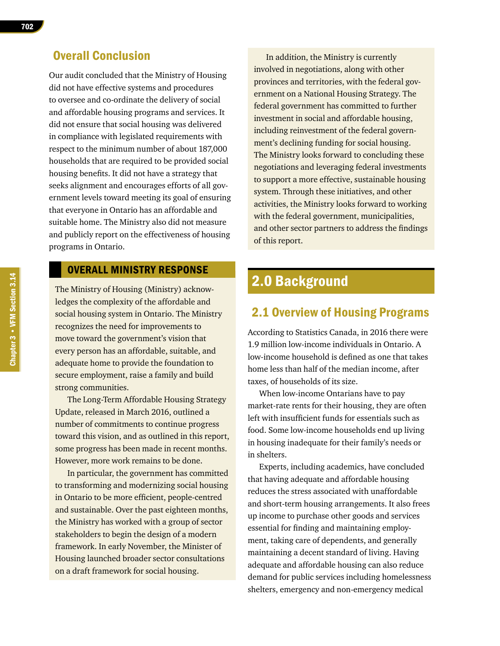# Overall Conclusion

Our audit concluded that the Ministry of Housing did not have effective systems and procedures to oversee and co-ordinate the delivery of social and affordable housing programs and services. It did not ensure that social housing was delivered in compliance with legislated requirements with respect to the minimum number of about 187,000 households that are required to be provided social housing benefits. It did not have a strategy that seeks alignment and encourages efforts of all government levels toward meeting its goal of ensuring that everyone in Ontario has an affordable and suitable home. The Ministry also did not measure and publicly report on the effectiveness of housing programs in Ontario.

# OVERALL MINISTRY RESPONSE

The Ministry of Housing (Ministry) acknowledges the complexity of the affordable and social housing system in Ontario. The Ministry recognizes the need for improvements to move toward the government's vision that every person has an affordable, suitable, and adequate home to provide the foundation to secure employment, raise a family and build strong communities.

The Long-Term Affordable Housing Strategy Update, released in March 2016, outlined a number of commitments to continue progress toward this vision, and as outlined in this report, some progress has been made in recent months. However, more work remains to be done.

In particular, the government has committed to transforming and modernizing social housing in Ontario to be more efficient, people-centred and sustainable. Over the past eighteen months, the Ministry has worked with a group of sector stakeholders to begin the design of a modern framework. In early November, the Minister of Housing launched broader sector consultations on a draft framework for social housing.

In addition, the Ministry is currently involved in negotiations, along with other provinces and territories, with the federal government on a National Housing Strategy. The federal government has committed to further investment in social and affordable housing, including reinvestment of the federal government's declining funding for social housing. The Ministry looks forward to concluding these negotiations and leveraging federal investments to support a more effective, sustainable housing system. Through these initiatives, and other activities, the Ministry looks forward to working with the federal government, municipalities, and other sector partners to address the findings of this report.

# 2.0 Background

# 2.1 Overview of Housing Programs

According to Statistics Canada, in 2016 there were 1.9 million low-income individuals in Ontario. A low-income household is defined as one that takes home less than half of the median income, after taxes, of households of its size.

When low-income Ontarians have to pay market-rate rents for their housing, they are often left with insufficient funds for essentials such as food. Some low-income households end up living in housing inadequate for their family's needs or in shelters.

Experts, including academics, have concluded that having adequate and affordable housing reduces the stress associated with unaffordable and short-term housing arrangements. It also frees up income to purchase other goods and services essential for finding and maintaining employment, taking care of dependents, and generally maintaining a decent standard of living. Having adequate and affordable housing can also reduce demand for public services including homelessness shelters, emergency and non-emergency medical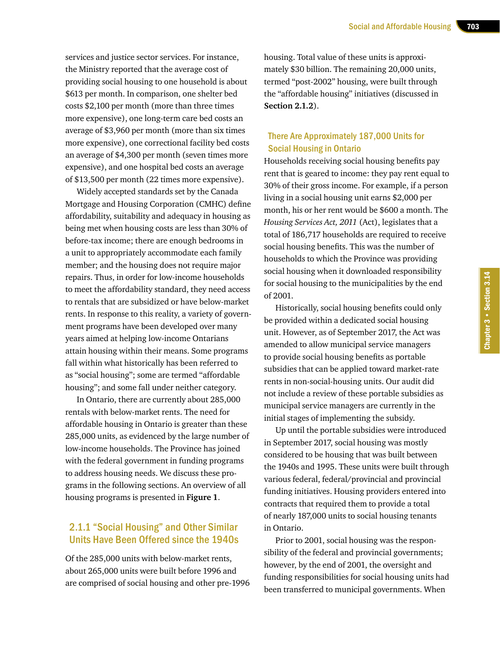services and justice sector services. For instance, the Ministry reported that the average cost of providing social housing to one household is about \$613 per month. In comparison, one shelter bed costs \$2,100 per month (more than three times more expensive), one long-term care bed costs an average of \$3,960 per month (more than six times more expensive), one correctional facility bed costs an average of \$4,300 per month (seven times more expensive), and one hospital bed costs an average of \$13,500 per month (22 times more expensive).

Widely accepted standards set by the Canada Mortgage and Housing Corporation (CMHC) define affordability, suitability and adequacy in housing as being met when housing costs are less than 30% of before-tax income; there are enough bedrooms in a unit to appropriately accommodate each family member; and the housing does not require major repairs. Thus, in order for low-income households to meet the affordability standard, they need access to rentals that are subsidized or have below-market rents. In response to this reality, a variety of government programs have been developed over many years aimed at helping low-income Ontarians attain housing within their means. Some programs fall within what historically has been referred to as "social housing"; some are termed "affordable housing"; and some fall under neither category.

In Ontario, there are currently about 285,000 rentals with below-market rents. The need for affordable housing in Ontario is greater than these 285,000 units, as evidenced by the large number of low-income households. The Province has joined with the federal government in funding programs to address housing needs. We discuss these programs in the following sections. An overview of all housing programs is presented in **Figure 1**.

### 2.1.1 "Social Housing" and Other Similar Units Have Been Offered since the 1940s

Of the 285,000 units with below-market rents, about 265,000 units were built before 1996 and are comprised of social housing and other pre-1996 housing. Total value of these units is approximately \$30 billion. The remaining 20,000 units, termed "post-2002" housing, were built through the "affordable housing" initiatives (discussed in **Section 2.1.2**).

#### There Are Approximately 187,000 Units for Social Housing in Ontario

Households receiving social housing benefits pay rent that is geared to income: they pay rent equal to 30% of their gross income. For example, if a person living in a social housing unit earns \$2,000 per month, his or her rent would be \$600 a month. The *Housing Services Act, 2011* (Act), legislates that a total of 186,717 households are required to receive social housing benefits. This was the number of households to which the Province was providing social housing when it downloaded responsibility for social housing to the municipalities by the end of 2001.

Historically, social housing benefits could only be provided within a dedicated social housing unit. However, as of September 2017, the Act was amended to allow municipal service managers to provide social housing benefits as portable subsidies that can be applied toward market-rate rents in non-social-housing units. Our audit did not include a review of these portable subsidies as municipal service managers are currently in the initial stages of implementing the subsidy.

Up until the portable subsidies were introduced in September 2017, social housing was mostly considered to be housing that was built between the 1940s and 1995. These units were built through various federal, federal/provincial and provincial funding initiatives. Housing providers entered into contracts that required them to provide a total of nearly 187,000 units to social housing tenants in Ontario.

Prior to 2001, social housing was the responsibility of the federal and provincial governments; however, by the end of 2001, the oversight and funding responsibilities for social housing units had been transferred to municipal governments. When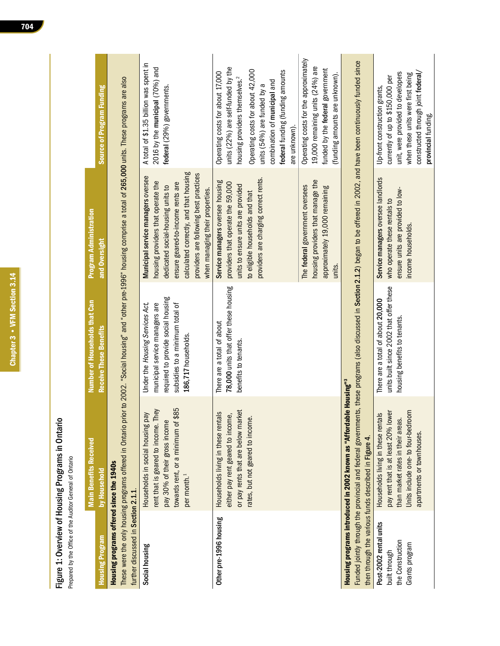Chapter 3 • VFM Section 3.14 Chapter 3 • VFM Section 3.14

# Figure 1: Overview of Housing Programs in Ontario Figure 1: Overview of Housing Programs in Ontario

Prepared by the Office of the Auditor General of Ontario Prepared by the Office of the Auditor General of Ontario

|                                                                               | <b>Main Benefits Received</b>                                                                                                                                                    | Number of Households that Can                                                                                                                                                   | <b>Program Administration</b>                                                                                                                                                                                                                                             |                                                                                                                                                                                                                                                                              |
|-------------------------------------------------------------------------------|----------------------------------------------------------------------------------------------------------------------------------------------------------------------------------|---------------------------------------------------------------------------------------------------------------------------------------------------------------------------------|---------------------------------------------------------------------------------------------------------------------------------------------------------------------------------------------------------------------------------------------------------------------------|------------------------------------------------------------------------------------------------------------------------------------------------------------------------------------------------------------------------------------------------------------------------------|
| <b>Housing Program</b>                                                        | by Household                                                                                                                                                                     | <b>Receive These Benefits</b>                                                                                                                                                   | and Oversight                                                                                                                                                                                                                                                             | Source of Program Funding                                                                                                                                                                                                                                                    |
| Housing programs offered since the 1940s                                      |                                                                                                                                                                                  | These were the only housing programs offered in Ontario prior to 2002. "Social housing" and "other pre-1996" housing comprise a total of 265,000 units. These programs are also |                                                                                                                                                                                                                                                                           |                                                                                                                                                                                                                                                                              |
| further discussed in Section 2.1.1.                                           |                                                                                                                                                                                  |                                                                                                                                                                                 |                                                                                                                                                                                                                                                                           |                                                                                                                                                                                                                                                                              |
| Social housing                                                                | towards rent, or a minimum of \$85<br>rent that is geared to income. They<br>Households in social housing pay<br>pay 30% of their gross income<br>per month. <sup>1</sup>        | required to provide social housing<br>Under the Housing Services Act,<br>municipal service managers are<br>subsidies to a minimum total of<br>186,717 households.               | calculated correctly, and that housing<br>providers are following best practices<br>Municipal service managers oversee<br>housing providers that operate the<br>ensure geared-to-income rents are<br>dedicated social-housing units to<br>when managing their properties. | A total of \$1.35 billion was spent in<br>2016 by the municipal (70%) and<br>federal (29%) governments.                                                                                                                                                                      |
| Other pre-1996 housing                                                        | or pay rents that are below market<br>Households living in these rentals<br>either pay rent geared to income,<br>rates, but not geared to income.                                | 78,000 units that offer these housing<br>There are a total of about<br>benefits to tenants.                                                                                     | providers are charging correct rents.<br>Service managers oversee housing<br>providers that operate the 59,000<br>units to ensure units are provided<br>to eligible households and that                                                                                   | units (22%) are self-funded by the<br>Operating costs for about 42,000<br>federal funding (funding amounts<br>Operating costs for about 17,000<br>housing providers themselves. <sup>2</sup><br>combination of municipal and<br>units (54%) are funded by a<br>are unknown). |
|                                                                               |                                                                                                                                                                                  |                                                                                                                                                                                 | housing providers that manage the<br>The federal government oversees<br>approximately 19,000 remaining<br>units.                                                                                                                                                          | Operating costs for the approximately<br>19,000 remaining units (24%) are<br>funded by the federal government<br>(funding amounts are unknown).                                                                                                                              |
| then through the various funds described in Figure 4.                         | Housing programs introduced in 2002 known as "Affordable Housing" <sup>3</sup><br>Funded jointly through the provincial and federal governmer                                    | its, these programs (also discussed in Section 2.1.2) began to be offered in 2002, and have been continuously funded since                                                      |                                                                                                                                                                                                                                                                           |                                                                                                                                                                                                                                                                              |
| Post-2002 rental units<br>the Construction<br>Grants program<br>built through | Units include one-to four-bedroom<br>pay rent that is at least 20% lower<br>Households living in these rentals<br>than market rates in their areas.<br>apartments or townhouses. | units built since 2002 that offer these<br>There are a total of about 20,000<br>housing benefits to tenants.                                                                    | Service managers oversee landlords<br>ensure units are provided to low-<br>who operate these rentals to<br>income households.                                                                                                                                             | constructed through joint federal/<br>unit, were provided to developers<br>when these units were first being<br>currently of up to \$150,000 per<br>Up-front construction grants,<br>provincial funding.                                                                     |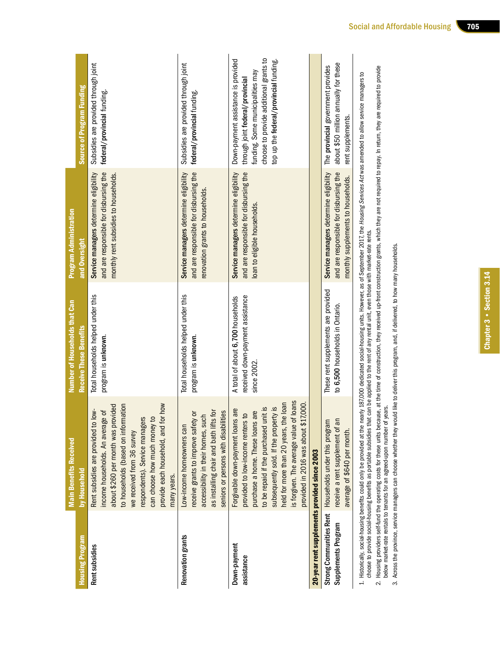|                                              | <b>Main Benefits Received</b>                                                                                                                                                                                                                                                                                                                            | Number of Households that Can                                                        | <b>Program Administration</b>                                                                                                                                                                                                          |                                                                                                                                                                                                 |
|----------------------------------------------|----------------------------------------------------------------------------------------------------------------------------------------------------------------------------------------------------------------------------------------------------------------------------------------------------------------------------------------------------------|--------------------------------------------------------------------------------------|----------------------------------------------------------------------------------------------------------------------------------------------------------------------------------------------------------------------------------------|-------------------------------------------------------------------------------------------------------------------------------------------------------------------------------------------------|
| <b>Housing Program</b>                       | by Household                                                                                                                                                                                                                                                                                                                                             | <b>Receive These Benefits</b>                                                        | and Oversight                                                                                                                                                                                                                          | <b>Source of Program Funding</b>                                                                                                                                                                |
| Rent subsidies                               | to households (based on information<br>r how<br>about \$260 per month was provided<br>Rent subsidies are provided to low-<br>đ<br>income households. An average<br>respondents). Service managers<br>can choose how much money to<br>provide each household, and for<br>we received from 36 survey<br>many years.                                        | Total households helped under this<br>program is unknown.                            | and are responsible for disbursing the<br>Service managers determine eligibility<br>monthly rent subsidies to households.                                                                                                              | Subsidies are provided through joint<br>federal/provincial funding.                                                                                                                             |
| Renovation grants                            | as installing chair and bath lifts for<br>seniors or persons with disabilities<br>ŏ<br>accessibility in their homes, such<br>receive grants to improve safety<br>Low-income homeowners can                                                                                                                                                               | Total households helped under this<br>program is unknown.                            | and are responsible for disbursing the<br>Service managers determine eligibility<br>renovation grants to households.                                                                                                                   | Subsidies are provided through joint<br>federal/provincial funding.                                                                                                                             |
| Down-payment<br>assistance                   | loans<br>held for more than 20 years, the loan<br>7,000.<br>to be repaid if the purchased unit is<br>si <i>N</i><br>Forgivable down-payment loans are<br>purchase a home. These loans are<br>$\overline{a}$<br>is forgiven. The average value of<br>subsequently sold. If the proper<br>provided to low-income renters<br>provided in 2016 was about \$1 | received down-payment assistance<br>A total of about 6,700 households<br>since 2002. | and are responsible for disbursing the<br>Service managers determine eligibility<br>loan to eligible households.                                                                                                                       | choose to provide additional grants to<br>Down-payment assistance is provided<br>top up the federal/provincial funding.<br>funding. Some municipalities may<br>through joint federal/provincial |
| 20-year rent supplements provided since 2003 |                                                                                                                                                                                                                                                                                                                                                          |                                                                                      |                                                                                                                                                                                                                                        |                                                                                                                                                                                                 |
| Supplements Program                          | receive a rent supplement of an<br>Strong Communities Rent Households under this program<br>average of \$640 per month.                                                                                                                                                                                                                                  | These rent supplements are provided<br>to 6,500 households in Ontario.               | and are responsible for disbursing the<br>Service managers determine eligibility<br>monthly supplements to households.                                                                                                                 | about \$50 million annually for these<br>The provincial government provides<br>rent supplements.                                                                                                |
|                                              |                                                                                                                                                                                                                                                                                                                                                          |                                                                                      | 1. Historically, social-housing benefits could only be provided at the nearly 187,000 dedicated social-housing units. However, as of September 2017, the <i>Housing Services Act was</i> amended to allow service managers to<br>choos |                                                                                                                                                                                                 |

choose to provide social-housing benefits as portable subsidies that can be applied to the rent of any rental unit, even those with market-rate rents.

cnoose to provide social-housing benefits as portable subsidies that can be applied to the fent of any rental unit, even those with market-rate rents.<br>2. Housing providers self-fund the operating costs for these units beca 2. Housing providers self-fund the operating costs for these units because, at the time of construction, they received up-front construction grants, which they are not required to repay. In return, they are required to pro below market-rate rentals to tenants for an agreed-upon number of years. below market-rate rentals to tenants for an agreed-upon number of years.

3. Across the province, service managers can choose whether they would like to deliver this program, and, if delivered, to how many households. 3. Across the province, service managers can choose whether they would like to deliver this program, and, if delivered, to how many households.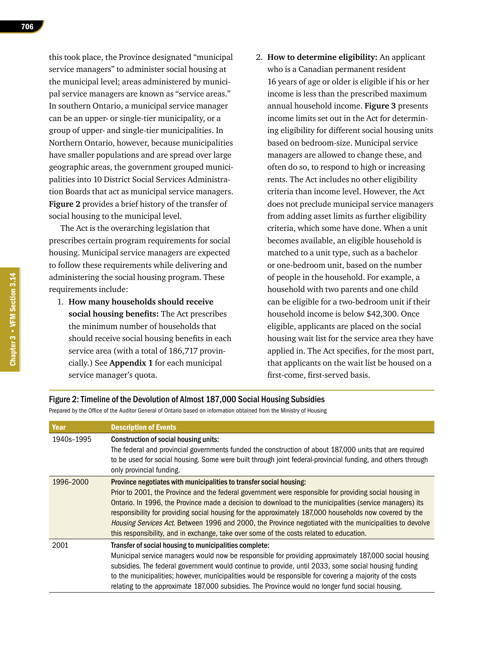this took place, the Province designated "municipal service managers" to administer social housing at the municipal level; areas administered by municipal service managers are known as "service areas." In southern Ontario, a municipal service manager can be an upper- or single-tier municipality, or a group of upper- and single-tier municipalities. In Northern Ontario, however, because municipalities have smaller populations and are spread over large geographic areas, the government grouped municipalities into 10 District Social Services Administration Boards that act as municipal service managers. **Figure 2** provides a brief history of the transfer of social housing to the municipal level.

The Act is the overarching legislation that prescribes certain program requirements for social housing. Municipal service managers are expected to follow these requirements while delivering and administering the social housing program. These requirements include:

- 1. **How many households should receive social housing benefits:** The Act prescribes the minimum number of households that should receive social housing benefits in each service area (with a total of 186,717 provincially.) See **Appendix 1** for each municipal service manager's quota.
- 2. **How to determine eligibility:** An applicant who is a Canadian permanent resident 16 years of age or older is eligible if his or her income is less than the prescribed maximum annual household income. **Figure 3** presents income limits set out in the Act for determining eligibility for different social housing units based on bedroom-size. Municipal service managers are allowed to change these, and often do so, to respond to high or increasing rents. The Act includes no other eligibility criteria than income level. However, the Act does not preclude municipal service managers from adding asset limits as further eligibility criteria, which some have done. When a unit becomes available, an eligible household is matched to a unit type, such as a bachelor or one-bedroom unit, based on the number of people in the household. For example, a household with two parents and one child can be eligible for a two-bedroom unit if their household income is below \$42,300. Once eligible, applicants are placed on the social housing wait list for the service area they have applied in. The Act specifies, for the most part, that applicants on the wait list be housed on a first-come, first-served basis.

#### Figure 2: Timeline of the Devolution of Almost 187,000 Social Housing Subsidies

Prepared by the Office of the Auditor General of Ontario based on information obtained from the Ministry of Housing

| Year       | <b>Description of Events</b>                                                                                                                                                                                                                                                                                                                                                                                                                                                                                                                                                                               |
|------------|------------------------------------------------------------------------------------------------------------------------------------------------------------------------------------------------------------------------------------------------------------------------------------------------------------------------------------------------------------------------------------------------------------------------------------------------------------------------------------------------------------------------------------------------------------------------------------------------------------|
| 1940s-1995 | Construction of social housing units:<br>The federal and provincial governments funded the construction of about 187,000 units that are required<br>to be used for social housing. Some were built through joint federal-provincial funding, and others through<br>only provincial funding.                                                                                                                                                                                                                                                                                                                |
| 1996-2000  | Province negotiates with municipalities to transfer social housing:<br>Prior to 2001, the Province and the federal government were responsible for providing social housing in<br>Ontario. In 1996, the Province made a decision to download to the municipalities (service managers) its<br>responsibility for providing social housing for the approximately 187,000 households now covered by the<br>Housing Services Act. Between 1996 and 2000, the Province negotiated with the municipalities to devolve<br>this responsibility, and in exchange, take over some of the costs related to education. |
| 2001       | Transfer of social housing to municipalities complete:<br>Municipal service managers would now be responsible for providing approximately 187,000 social housing<br>subsidies. The federal government would continue to provide, until 2033, some social housing funding<br>to the municipalities; however, municipalities would be responsible for covering a majority of the costs<br>relating to the approximate 187,000 subsidies. The Province would no longer fund social housing.                                                                                                                   |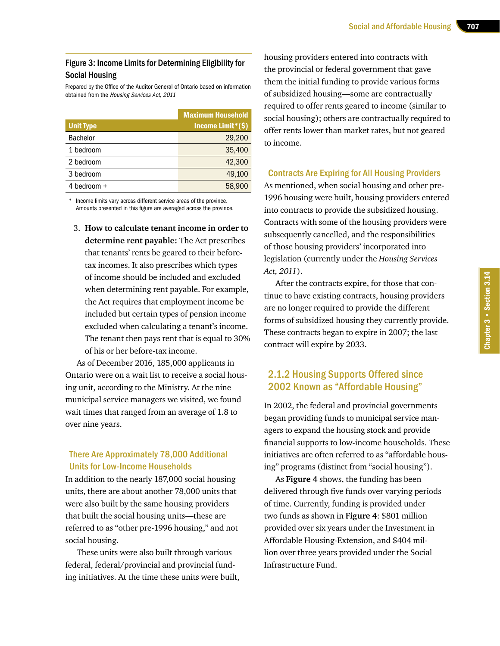#### Figure 3: Income Limits for Determining Eligibility for Social Housing

Prepared by the Office of the Auditor General of Ontario based on information obtained from the Housing Services Act, 2011

|                  | <b>Maximum Household</b> |
|------------------|--------------------------|
| <b>Unit Type</b> | Income Limit*(\$)        |
| <b>Bachelor</b>  | 29,200                   |
| 1 bedroom        | 35,400                   |
| 2 bedroom        | 42,300                   |
| 3 bedroom        | 49,100                   |
| 4 bedroom $+$    | 58,900                   |

Income limits vary across different service areas of the province. Amounts presented in this figure are averaged across the province.

3. **How to calculate tenant income in order to determine rent payable:** The Act prescribes that tenants' rents be geared to their beforetax incomes. It also prescribes which types of income should be included and excluded when determining rent payable. For example, the Act requires that employment income be included but certain types of pension income excluded when calculating a tenant's income. The tenant then pays rent that is equal to 30% of his or her before-tax income.

As of December 2016, 185,000 applicants in Ontario were on a wait list to receive a social housing unit, according to the Ministry. At the nine municipal service managers we visited, we found wait times that ranged from an average of 1.8 to over nine years.

#### There Are Approximately 78,000 Additional Units for Low-Income Households

In addition to the nearly 187,000 social housing units, there are about another 78,000 units that were also built by the same housing providers that built the social housing units—these are referred to as "other pre-1996 housing," and not social housing.

These units were also built through various federal, federal/provincial and provincial funding initiatives. At the time these units were built, housing providers entered into contracts with the provincial or federal government that gave them the initial funding to provide various forms of subsidized housing—some are contractually required to offer rents geared to income (similar to social housing); others are contractually required to offer rents lower than market rates, but not geared to income.

#### Contracts Are Expiring for All Housing Providers

As mentioned, when social housing and other pre-1996 housing were built, housing providers entered into contracts to provide the subsidized housing. Contracts with some of the housing providers were subsequently cancelled, and the responsibilities of those housing providers' incorporated into legislation (currently under the *Housing Services Act, 2011*).

After the contracts expire, for those that continue to have existing contracts, housing providers are no longer required to provide the different forms of subsidized housing they currently provide. These contracts began to expire in 2007; the last contract will expire by 2033.

# 2.1.2 Housing Supports Offered since 2002 Known as "Affordable Housing"

In 2002, the federal and provincial governments began providing funds to municipal service managers to expand the housing stock and provide financial supports to low-income households. These initiatives are often referred to as "affordable housing" programs (distinct from "social housing").

As **Figure 4** shows, the funding has been delivered through five funds over varying periods of time. Currently, funding is provided under two funds as shown in **Figure 4**: \$801 million provided over six years under the Investment in Affordable Housing-Extension, and \$404 million over three years provided under the Social Infrastructure Fund.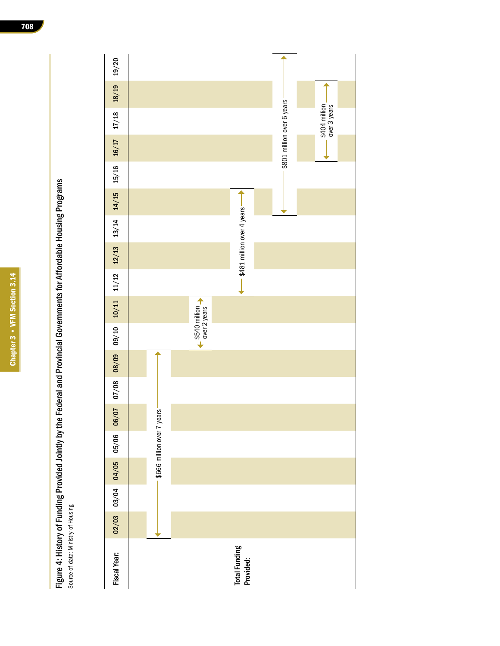| ľ               |
|-----------------|
|                 |
| I               |
|                 |
|                 |
|                 |
| I               |
| ١               |
|                 |
|                 |
| ŀ               |
|                 |
|                 |
|                 |
| ٠               |
|                 |
| ľ               |
|                 |
| I               |
|                 |
| I               |
|                 |
|                 |
| I<br>I          |
|                 |
|                 |
|                 |
| i               |
|                 |
| ֚֚֚֬            |
|                 |
|                 |
|                 |
|                 |
| i<br>L          |
|                 |
|                 |
|                 |
|                 |
| l<br>ı          |
|                 |
|                 |
|                 |
| I<br>ׇ֒         |
| I               |
|                 |
| l               |
|                 |
|                 |
|                 |
| r               |
|                 |
|                 |
| ֖֚֚֚֚֚֚֚֬֝<br>֦ |
|                 |
|                 |
|                 |
|                 |
| ֠               |
|                 |
| I<br>I          |

Figure 4: History of Funding Provided Jointly by the Federal and Provincial Governments for Affordable Housing Programs Figure 4: History of Funding Provided Jointly by the Federal and Provincial Governments for Affordable Housing Programs Source of data: Ministry of Housing Source of data: Ministry of Housing

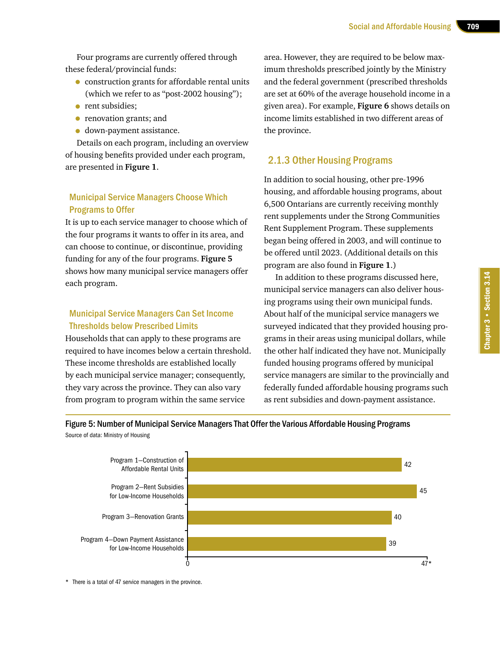Four programs are currently offered through these federal/provincial funds:

- construction grants for affordable rental units (which we refer to as "post-2002 housing");
- rent subsidies:
- renovation grants; and
- down-payment assistance.

Details on each program, including an overview of housing benefits provided under each program, are presented in **Figure 1**.

# Municipal Service Managers Choose Which Programs to Offer

It is up to each service manager to choose which of the four programs it wants to offer in its area, and can choose to continue, or discontinue, providing funding for any of the four programs. **Figure 5**  shows how many municipal service managers offer each program.

#### Municipal Service Managers Can Set Income Thresholds below Prescribed Limits

Households that can apply to these programs are required to have incomes below a certain threshold. These income thresholds are established locally by each municipal service manager; consequently, they vary across the province. They can also vary from program to program within the same service

area. However, they are required to be below maximum thresholds prescribed jointly by the Ministry and the federal government (prescribed thresholds are set at 60% of the average household income in a given area). For example, **Figure 6** shows details on income limits established in two different areas of the province.

# 2.1.3 Other Housing Programs

In addition to social housing, other pre-1996 housing, and affordable housing programs, about 6,500 Ontarians are currently receiving monthly rent supplements under the Strong Communities Rent Supplement Program. These supplements began being offered in 2003, and will continue to be offered until 2023. (Additional details on this program are also found in **Figure 1**.)

In addition to these programs discussed here, municipal service managers can also deliver housing programs using their own municipal funds. About half of the municipal service managers we surveyed indicated that they provided housing programs in their areas using municipal dollars, while the other half indicated they have not. Municipally funded housing programs offered by municipal service managers are similar to the provincially and federally funded affordable housing programs such as rent subsidies and down-payment assistance.





\* There is a total of 47 service managers in the province.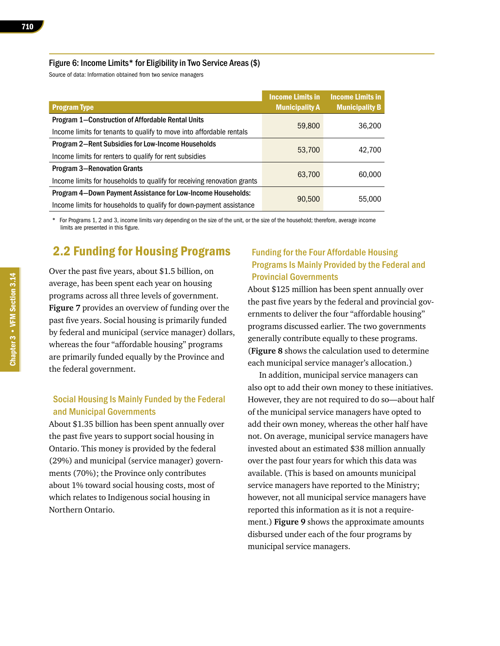#### Figure 6: Income Limits\* for Eligibility in Two Service Areas (\$)

Source of data: Information obtained from two service managers

|                                                                         | <b>Income Limits in</b> | <b>Income Limits in</b> |  |
|-------------------------------------------------------------------------|-------------------------|-------------------------|--|
| <b>Program Type</b>                                                     | <b>Municipality A</b>   | <b>Municipality B</b>   |  |
| Program 1-Construction of Affordable Rental Units                       |                         |                         |  |
| Income limits for tenants to qualify to move into affordable rentals    | 59,800                  | 36,200                  |  |
| <b>Program 2–Rent Subsidies for Low-Income Households</b>               |                         |                         |  |
| Income limits for renters to qualify for rent subsidies                 | 53,700                  | 42,700                  |  |
| <b>Program 3-Renovation Grants</b>                                      | 63,700                  | 60,000                  |  |
| Income limits for households to qualify for receiving renovation grants |                         |                         |  |
| Program 4-Down Payment Assistance for Low-Income Households:            |                         |                         |  |
| Income limits for households to qualify for down-payment assistance     | 90,500                  | 55,000                  |  |

For Programs 1, 2 and 3, income limits vary depending on the size of the unit, or the size of the household; therefore, average income limits are presented in this figure.

# 2.2 Funding for Housing Programs

Over the past five years, about \$1.5 billion, on average, has been spent each year on housing programs across all three levels of government. **Figure 7** provides an overview of funding over the past five years. Social housing is primarily funded by federal and municipal (service manager) dollars, whereas the four "affordable housing" programs are primarily funded equally by the Province and the federal government.

# Social Housing Is Mainly Funded by the Federal and Municipal Governments

About \$1.35 billion has been spent annually over the past five years to support social housing in Ontario. This money is provided by the federal (29%) and municipal (service manager) governments (70%); the Province only contributes about 1% toward social housing costs, most of which relates to Indigenous social housing in Northern Ontario.

#### Funding for the Four Affordable Housing Programs Is Mainly Provided by the Federal and Provincial Governments

About \$125 million has been spent annually over the past five years by the federal and provincial governments to deliver the four "affordable housing" programs discussed earlier. The two governments generally contribute equally to these programs. (**Figure 8** shows the calculation used to determine each municipal service manager's allocation.)

In addition, municipal service managers can also opt to add their own money to these initiatives. However, they are not required to do so—about half of the municipal service managers have opted to add their own money, whereas the other half have not. On average, municipal service managers have invested about an estimated \$38 million annually over the past four years for which this data was available. (This is based on amounts municipal service managers have reported to the Ministry; however, not all municipal service managers have reported this information as it is not a requirement.) **Figure 9** shows the approximate amounts disbursed under each of the four programs by municipal service managers.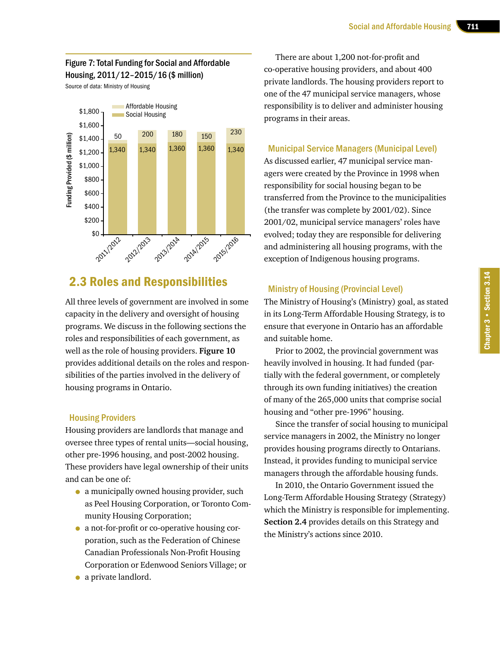#### Figure 7: Total Funding for Social and Affordable Housing, 2011/12–2015/16 (\$ million)

Source of data: Ministry of Housing



# 2.3 Roles and Responsibilities

All three levels of government are involved in some capacity in the delivery and oversight of housing programs. We discuss in the following sections the roles and responsibilities of each government, as well as the role of housing providers. **Figure 10**  provides additional details on the roles and responsibilities of the parties involved in the delivery of housing programs in Ontario.

#### Housing Providers

Housing providers are landlords that manage and oversee three types of rental units—social housing, other pre-1996 housing, and post-2002 housing. These providers have legal ownership of their units and can be one of:

- a municipally owned housing provider, such as Peel Housing Corporation, or Toronto Community Housing Corporation;
- a not-for-profit or co-operative housing corporation, such as the Federation of Chinese Canadian Professionals Non-Profit Housing Corporation or Edenwood Seniors Village; or
- a private landlord.

There are about 1,200 not-for-profit and co-operative housing providers, and about 400 private landlords. The housing providers report to one of the 47 municipal service managers, whose responsibility is to deliver and administer housing programs in their areas.

#### Municipal Service Managers (Municipal Level)

As discussed earlier, 47 municipal service managers were created by the Province in 1998 when responsibility for social housing began to be transferred from the Province to the municipalities (the transfer was complete by 2001/02). Since 2001/02, municipal service managers' roles have evolved; today they are responsible for delivering and administering all housing programs, with the exception of Indigenous housing programs.

#### Ministry of Housing (Provincial Level)

The Ministry of Housing's (Ministry) goal, as stated in its Long-Term Affordable Housing Strategy, is to ensure that everyone in Ontario has an affordable and suitable home.

Prior to 2002, the provincial government was heavily involved in housing. It had funded (partially with the federal government, or completely through its own funding initiatives) the creation of many of the 265,000 units that comprise social housing and "other pre-1996" housing.

Since the transfer of social housing to municipal service managers in 2002, the Ministry no longer provides housing programs directly to Ontarians. Instead, it provides funding to municipal service managers through the affordable housing funds.

In 2010, the Ontario Government issued the Long-Term Affordable Housing Strategy (Strategy) which the Ministry is responsible for implementing. **Section 2.4** provides details on this Strategy and the Ministry's actions since 2010.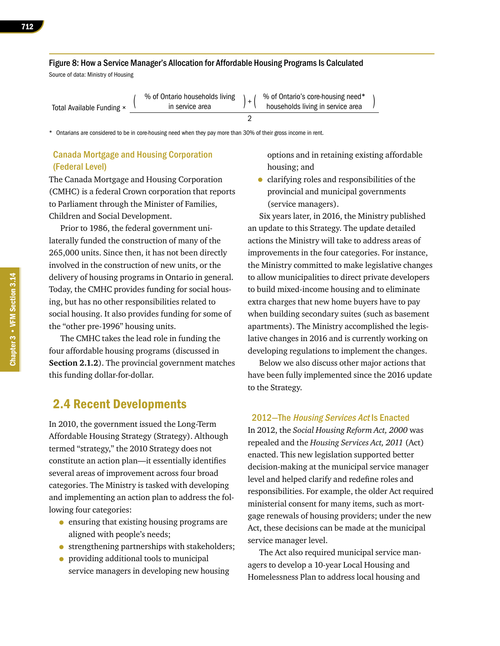#### Figure 8: How a Service Manager's Allocation for Affordable Housing Programs Is Calculated

Source of data: Ministry of Housing

|                           | % of Ontario households living | % of Ontario's core-housing need* |  |
|---------------------------|--------------------------------|-----------------------------------|--|
| Total Available Funding × | in service area                | households living in service area |  |
|                           |                                |                                   |  |

\* Ontarians are considered to be in core-housing need when they pay more than 30% of their gross income in rent.

#### Canada Mortgage and Housing Corporation (Federal Level)

The Canada Mortgage and Housing Corporation (CMHC) is a federal Crown corporation that reports to Parliament through the Minister of Families, Children and Social Development.

Prior to 1986, the federal government unilaterally funded the construction of many of the 265,000 units. Since then, it has not been directly involved in the construction of new units, or the delivery of housing programs in Ontario in general. Today, the CMHC provides funding for social housing, but has no other responsibilities related to social housing. It also provides funding for some of the "other pre-1996" housing units.

The CMHC takes the lead role in funding the four affordable housing programs (discussed in **Section 2.1.2**). The provincial government matches this funding dollar-for-dollar.

# 2.4 Recent Developments

In 2010, the government issued the Long-Term Affordable Housing Strategy (Strategy). Although termed "strategy," the 2010 Strategy does not constitute an action plan—it essentially identifies several areas of improvement across four broad categories. The Ministry is tasked with developing and implementing an action plan to address the following four categories:

- ensuring that existing housing programs are aligned with people's needs;
- strengthening partnerships with stakeholders;
- providing additional tools to municipal service managers in developing new housing

options and in retaining existing affordable housing; and

• clarifying roles and responsibilities of the provincial and municipal governments (service managers).

Six years later, in 2016, the Ministry published an update to this Strategy. The update detailed actions the Ministry will take to address areas of improvements in the four categories. For instance, the Ministry committed to make legislative changes to allow municipalities to direct private developers to build mixed-income housing and to eliminate extra charges that new home buyers have to pay when building secondary suites (such as basement apartments). The Ministry accomplished the legislative changes in 2016 and is currently working on developing regulations to implement the changes.

Below we also discuss other major actions that have been fully implemented since the 2016 update to the Strategy.

#### 2012—The Housing Services Act Is Enacted

In 2012, the *Social Housing Reform Act, 2000* was repealed and the *Housing Services Act, 2011* (Act) enacted. This new legislation supported better decision-making at the municipal service manager level and helped clarify and redefine roles and responsibilities. For example, the older Act required ministerial consent for many items, such as mortgage renewals of housing providers; under the new Act, these decisions can be made at the municipal service manager level.

The Act also required municipal service managers to develop a 10-year Local Housing and Homelessness Plan to address local housing and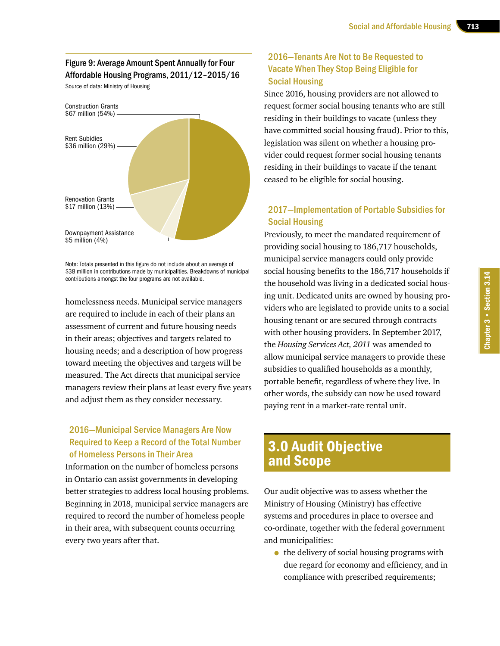# Figure 9: Average Amount Spent Annually for Four Affordable Housing Programs, 2011/12–2015/16

Source of data: Ministry of Housing



Note: Totals presented in this figure do not include about an average of \$38 million in contributions made by municipalities. Breakdowns of municipal contributions amongst the four programs are not available.

homelessness needs. Municipal service managers are required to include in each of their plans an assessment of current and future housing needs in their areas; objectives and targets related to housing needs; and a description of how progress toward meeting the objectives and targets will be measured. The Act directs that municipal service managers review their plans at least every five years and adjust them as they consider necessary.

# 2016—Municipal Service Managers Are Now Required to Keep a Record of the Total Number of Homeless Persons in Their Area

Information on the number of homeless persons in Ontario can assist governments in developing better strategies to address local housing problems. Beginning in 2018, municipal service managers are required to record the number of homeless people in their area, with subsequent counts occurring every two years after that.

# 2016—Tenants Are Not to Be Requested to Vacate When They Stop Being Eligible for Social Housing

Since 2016, housing providers are not allowed to request former social housing tenants who are still residing in their buildings to vacate (unless they have committed social housing fraud). Prior to this, legislation was silent on whether a housing provider could request former social housing tenants residing in their buildings to vacate if the tenant ceased to be eligible for social housing.

# 2017—Implementation of Portable Subsidies for Social Housing

Previously, to meet the mandated requirement of providing social housing to 186,717 households, municipal service managers could only provide social housing benefits to the 186,717 households if the household was living in a dedicated social housing unit. Dedicated units are owned by housing providers who are legislated to provide units to a social housing tenant or are secured through contracts with other housing providers. In September 2017, the *Housing Services Act, 2011* was amended to allow municipal service managers to provide these subsidies to qualified households as a monthly, portable benefit, regardless of where they live. In other words, the subsidy can now be used toward paying rent in a market-rate rental unit.

# 3.0 Audit Objective and Scope

Our audit objective was to assess whether the Ministry of Housing (Ministry) has effective systems and procedures in place to oversee and co-ordinate, together with the federal government and municipalities:

• the delivery of social housing programs with due regard for economy and efficiency, and in compliance with prescribed requirements;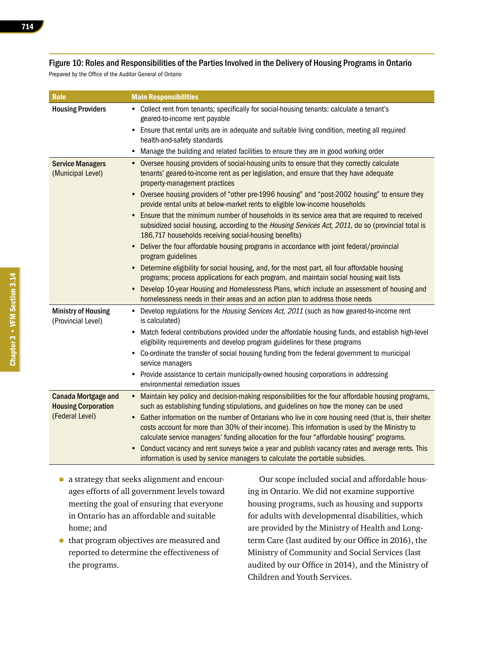#### Figure 10: Roles and Responsibilities of the Parties Involved in the Delivery of Housing Programs in Ontario

Prepared by the Office of the Auditor General of Ontario

| <b>Role</b>                                                                 | <b>Main Responsibilities</b>                                                                                                                                                                                                                                                                            |
|-----------------------------------------------------------------------------|---------------------------------------------------------------------------------------------------------------------------------------------------------------------------------------------------------------------------------------------------------------------------------------------------------|
| <b>Housing Providers</b>                                                    | • Collect rent from tenants; specifically for social-housing tenants: calculate a tenant's<br>geared-to-income rent payable                                                                                                                                                                             |
|                                                                             | • Ensure that rental units are in adequate and suitable living condition, meeting all required<br>health-and-safety standards                                                                                                                                                                           |
|                                                                             | Manage the building and related facilities to ensure they are in good working order<br>٠                                                                                                                                                                                                                |
| <b>Service Managers</b><br>(Municipal Level)                                | • Oversee housing providers of social-housing units to ensure that they correctly calculate<br>tenants' geared-to-income rent as per legislation, and ensure that they have adequate<br>property-management practices                                                                                   |
|                                                                             | • Oversee housing providers of "other pre-1996 housing" and "post-2002 housing" to ensure they<br>provide rental units at below-market rents to eligible low-income households                                                                                                                          |
|                                                                             | Ensure that the minimum number of households in its service area that are required to received<br>$\bullet$<br>subsidized social housing, according to the Housing Services Act, 2011, do so (provincial total is<br>186,717 households receiving social-housing benefits)                              |
|                                                                             | • Deliver the four affordable housing programs in accordance with joint federal/provincial<br>program guidelines                                                                                                                                                                                        |
|                                                                             | • Determine eligibility for social housing, and, for the most part, all four affordable housing<br>programs; process applications for each program, and maintain social housing wait lists                                                                                                              |
|                                                                             | • Develop 10-year Housing and Homelessness Plans, which include an assessment of housing and<br>homelessness needs in their areas and an action plan to address those needs                                                                                                                             |
| <b>Ministry of Housing</b><br>(Provincial Level)                            | • Develop regulations for the Housing Services Act, 2011 (such as how geared-to-income rent<br>is calculated)                                                                                                                                                                                           |
|                                                                             | • Match federal contributions provided under the affordable housing funds, and establish high-level<br>eligibility requirements and develop program guidelines for these programs                                                                                                                       |
|                                                                             | • Co-ordinate the transfer of social housing funding from the federal government to municipal<br>service managers                                                                                                                                                                                       |
|                                                                             | • Provide assistance to certain municipally-owned housing corporations in addressing<br>environmental remediation issues                                                                                                                                                                                |
| <b>Canada Mortgage and</b><br><b>Housing Corporation</b><br>(Federal Level) | • Maintain key policy and decision-making responsibilities for the four affordable housing programs,<br>such as establishing funding stipulations, and guidelines on how the money can be used<br>• Gather information on the number of Ontarians who live in core housing need (that is, their shelter |
|                                                                             | costs account for more than 30% of their income). This information is used by the Ministry to<br>calculate service managers' funding allocation for the four "affordable housing" programs.                                                                                                             |
|                                                                             | Conduct vacancy and rent surveys twice a year and publish vacancy rates and average rents. This<br>$\bullet$<br>information is used by service managers to calculate the portable subsidies.                                                                                                            |

- a strategy that seeks alignment and encourages efforts of all government levels toward meeting the goal of ensuring that everyone in Ontario has an affordable and suitable home; and
- that program objectives are measured and reported to determine the effectiveness of the programs.

Our scope included social and affordable housing in Ontario. We did not examine supportive housing programs, such as housing and supports for adults with developmental disabilities, which are provided by the Ministry of Health and Longterm Care (last audited by our Office in 2016), the Ministry of Community and Social Services (last audited by our Office in 2014), and the Ministry of Children and Youth Services.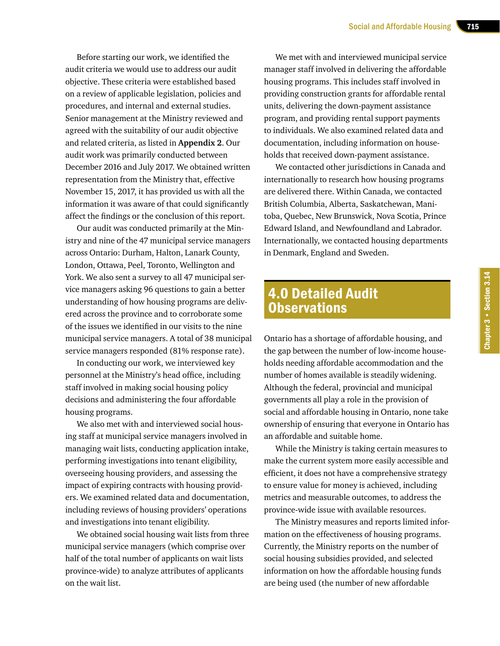Before starting our work, we identified the audit criteria we would use to address our audit objective. These criteria were established based on a review of applicable legislation, policies and procedures, and internal and external studies. Senior management at the Ministry reviewed and agreed with the suitability of our audit objective and related criteria, as listed in **Appendix 2**. Our audit work was primarily conducted between December 2016 and July 2017. We obtained written representation from the Ministry that, effective November 15, 2017, it has provided us with all the information it was aware of that could significantly affect the findings or the conclusion of this report.

Our audit was conducted primarily at the Ministry and nine of the 47 municipal service managers across Ontario: Durham, Halton, Lanark County, London, Ottawa, Peel, Toronto, Wellington and York. We also sent a survey to all 47 municipal service managers asking 96 questions to gain a better understanding of how housing programs are delivered across the province and to corroborate some of the issues we identified in our visits to the nine municipal service managers. A total of 38 municipal service managers responded (81% response rate).

In conducting our work, we interviewed key personnel at the Ministry's head office, including staff involved in making social housing policy decisions and administering the four affordable housing programs.

We also met with and interviewed social housing staff at municipal service managers involved in managing wait lists, conducting application intake, performing investigations into tenant eligibility, overseeing housing providers, and assessing the impact of expiring contracts with housing providers. We examined related data and documentation, including reviews of housing providers' operations and investigations into tenant eligibility.

We obtained social housing wait lists from three municipal service managers (which comprise over half of the total number of applicants on wait lists province-wide) to analyze attributes of applicants on the wait list.

We met with and interviewed municipal service manager staff involved in delivering the affordable housing programs. This includes staff involved in providing construction grants for affordable rental units, delivering the down-payment assistance program, and providing rental support payments to individuals. We also examined related data and documentation, including information on households that received down-payment assistance.

We contacted other jurisdictions in Canada and internationally to research how housing programs are delivered there. Within Canada, we contacted British Columbia, Alberta, Saskatchewan, Manitoba, Quebec, New Brunswick, Nova Scotia, Prince Edward Island, and Newfoundland and Labrador. Internationally, we contacted housing departments in Denmark, England and Sweden.

# 4.0 Detailed Audit **Observations**

Ontario has a shortage of affordable housing, and the gap between the number of low-income households needing affordable accommodation and the number of homes available is steadily widening. Although the federal, provincial and municipal governments all play a role in the provision of social and affordable housing in Ontario, none take ownership of ensuring that everyone in Ontario has an affordable and suitable home.

While the Ministry is taking certain measures to make the current system more easily accessible and efficient, it does not have a comprehensive strategy to ensure value for money is achieved, including metrics and measurable outcomes, to address the province-wide issue with available resources.

The Ministry measures and reports limited information on the effectiveness of housing programs. Currently, the Ministry reports on the number of social housing subsidies provided, and selected information on how the affordable housing funds are being used (the number of new affordable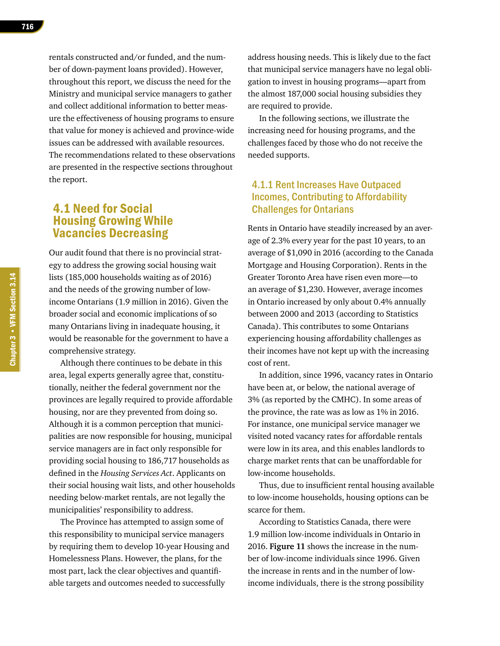rentals constructed and/or funded, and the number of down-payment loans provided). However, throughout this report, we discuss the need for the Ministry and municipal service managers to gather and collect additional information to better measure the effectiveness of housing programs to ensure that value for money is achieved and province-wide issues can be addressed with available resources. The recommendations related to these observations are presented in the respective sections throughout the report.

# 4.1 Need for Social Housing Growing While Vacancies Decreasing

Our audit found that there is no provincial strategy to address the growing social housing wait lists (185,000 households waiting as of 2016) and the needs of the growing number of lowincome Ontarians (1.9 million in 2016). Given the broader social and economic implications of so many Ontarians living in inadequate housing, it would be reasonable for the government to have a comprehensive strategy.

Although there continues to be debate in this area, legal experts generally agree that, constitutionally, neither the federal government nor the provinces are legally required to provide affordable housing, nor are they prevented from doing so. Although it is a common perception that municipalities are now responsible for housing, municipal service managers are in fact only responsible for providing social housing to 186,717 households as defined in the *Housing Services Act*. Applicants on their social housing wait lists, and other households needing below-market rentals, are not legally the municipalities' responsibility to address.

The Province has attempted to assign some of this responsibility to municipal service managers by requiring them to develop 10-year Housing and Homelessness Plans. However, the plans, for the most part, lack the clear objectives and quantifiable targets and outcomes needed to successfully

address housing needs. This is likely due to the fact that municipal service managers have no legal obligation to invest in housing programs—apart from the almost 187,000 social housing subsidies they are required to provide.

In the following sections, we illustrate the increasing need for housing programs, and the challenges faced by those who do not receive the needed supports.

# 4.1.1 Rent Increases Have Outpaced Incomes, Contributing to Affordability Challenges for Ontarians

Rents in Ontario have steadily increased by an average of 2.3% every year for the past 10 years, to an average of \$1,090 in 2016 (according to the Canada Mortgage and Housing Corporation). Rents in the Greater Toronto Area have risen even more—to an average of \$1,230. However, average incomes in Ontario increased by only about 0.4% annually between 2000 and 2013 (according to Statistics Canada). This contributes to some Ontarians experiencing housing affordability challenges as their incomes have not kept up with the increasing cost of rent.

In addition, since 1996, vacancy rates in Ontario have been at, or below, the national average of 3% (as reported by the CMHC). In some areas of the province, the rate was as low as 1% in 2016. For instance, one municipal service manager we visited noted vacancy rates for affordable rentals were low in its area, and this enables landlords to charge market rents that can be unaffordable for low-income households.

Thus, due to insufficient rental housing available to low-income households, housing options can be scarce for them.

According to Statistics Canada, there were 1.9 million low-income individuals in Ontario in 2016. **Figure 11** shows the increase in the number of low-income individuals since 1996. Given the increase in rents and in the number of lowincome individuals, there is the strong possibility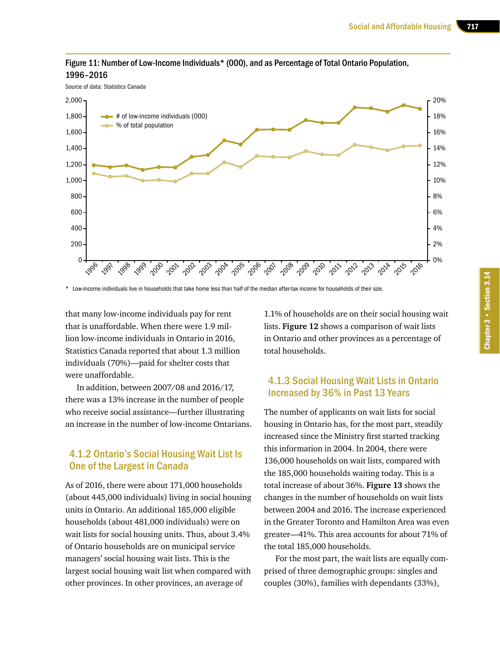

#### Figure 11: Number of Low-Income Individuals\* (000), and as Percentage of Total Ontario Population, 1996–2016

\* Low-income individuals live in households that take home less than half of the median after-tax income for households of their size.

that many low-income individuals pay for rent that is unaffordable. When there were 1.9 million low-income individuals in Ontario in 2016, Statistics Canada reported that about 1.3 million individuals (70%)—paid for shelter costs that were unaffordable.

In addition, between 2007/08 and 2016/17, there was a 13% increase in the number of people who receive social assistance—further illustrating an increase in the number of low-income Ontarians.

# 4.1.2 Ontario's Social Housing Wait List Is One of the Largest in Canada

As of 2016, there were about 171,000 households (about 445,000 individuals) living in social housing units in Ontario. An additional 185,000 eligible households (about 481,000 individuals) were on wait lists for social housing units. Thus, about 3.4% of Ontario households are on municipal service managers' social housing wait lists. This is the largest social housing wait list when compared with other provinces. In other provinces, an average of

1.1% of households are on their social housing wait lists. **Figure 12** shows a comparison of wait lists in Ontario and other provinces as a percentage of total households.

# 4.1.3 Social Housing Wait Lists in Ontario Increased by 36% in Past 13 Years

The number of applicants on wait lists for social housing in Ontario has, for the most part, steadily increased since the Ministry first started tracking this information in 2004. In 2004, there were 136,000 households on wait lists, compared with the 185,000 households waiting today. This is a total increase of about 36%. **Figure 13** shows the changes in the number of households on wait lists between 2004 and 2016. The increase experienced in the Greater Toronto and Hamilton Area was even greater—41%. This area accounts for about 71% of the total 185,000 households.

For the most part, the wait lists are equally comprised of three demographic groups: singles and couples (30%), families with dependants (33%),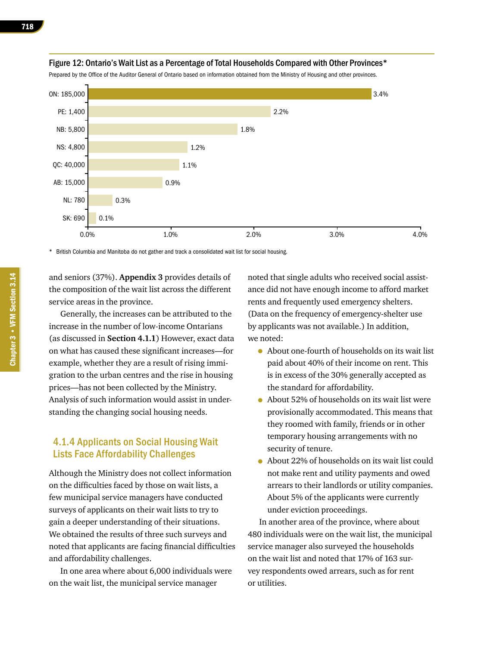

#### Figure 12: Ontario's Wait List as a Percentage of Total Households Compared with Other Provinces\*

Prepared by the Office of the Auditor General of Ontario based on information obtained from the Ministry of Housing and other provinces.

\* British Columbia and Manitoba do not gather and track a consolidated wait list for social housing.

and seniors (37%). **Appendix 3** provides details of the composition of the wait list across the different service areas in the province.

Generally, the increases can be attributed to the increase in the number of low-income Ontarians (as discussed in **Section 4.1.1**) However, exact data on what has caused these significant increases—for example, whether they are a result of rising immigration to the urban centres and the rise in housing prices—has not been collected by the Ministry. Analysis of such information would assist in understanding the changing social housing needs.

#### 4.1.4 Applicants on Social Housing Wait Lists Face Affordability Challenges

Although the Ministry does not collect information on the difficulties faced by those on wait lists, a few municipal service managers have conducted surveys of applicants on their wait lists to try to gain a deeper understanding of their situations. We obtained the results of three such surveys and noted that applicants are facing financial difficulties and affordability challenges.

In one area where about 6,000 individuals were on the wait list, the municipal service manager

noted that single adults who received social assistance did not have enough income to afford market rents and frequently used emergency shelters. (Data on the frequency of emergency-shelter use by applicants was not available.) In addition, we noted:

- About one-fourth of households on its wait list paid about 40% of their income on rent. This is in excess of the 30% generally accepted as the standard for affordability.
- About 52% of households on its wait list were provisionally accommodated. This means that they roomed with family, friends or in other temporary housing arrangements with no security of tenure.
- About 22% of households on its wait list could not make rent and utility payments and owed arrears to their landlords or utility companies. About 5% of the applicants were currently under eviction proceedings.

In another area of the province, where about 480 individuals were on the wait list, the municipal service manager also surveyed the households on the wait list and noted that 17% of 163 survey respondents owed arrears, such as for rent or utilities.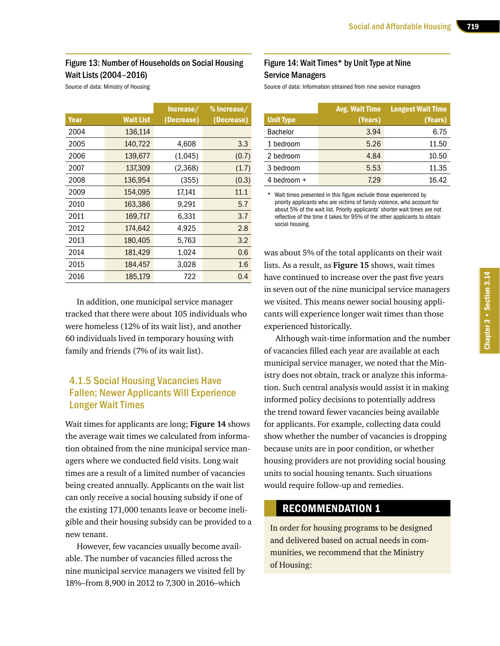#### Figure 13: Number of Households on Social Housing Wait Lists (2004–2016)

Source of data: Ministry of Housing

|      |                  | Increase/  | % Increase/ |
|------|------------------|------------|-------------|
| Year | <b>Wait List</b> | (Decrease) | (Decrease)  |
| 2004 | 136,114          |            |             |
| 2005 | 140,722          | 4,608      | 3.3         |
| 2006 | 139,677          | (1,045)    | (0.7)       |
| 2007 | 137,309          | (2,368)    | (1.7)       |
| 2008 | 136,954          | (355)      | (0.3)       |
| 2009 | 154,095          | 17,141     | 11.1        |
| 2010 | 163,386          | 9.291      | 5.7         |
| 2011 | 169,717          | 6.331      | 3.7         |
| 2012 | 174,642          | 4,925      | 2.8         |
| 2013 | 180,405          | 5,763      | 3.2         |
| 2014 | 181,429          | 1,024      | 0.6         |
| 2015 | 184,457          | 3,028      | 1.6         |
| 2016 | 185,179          | 722        | 0.4         |

In addition, one municipal service manager tracked that there were about 105 individuals who were homeless (12% of its wait list), and another 60 individuals lived in temporary housing with family and friends (7% of its wait list).

# 4.1.5 Social Housing Vacancies Have Fallen; Newer Applicants Will Experience Longer Wait Times

Wait times for applicants are long; **Figure 14** shows the average wait times we calculated from information obtained from the nine municipal service managers where we conducted field visits. Long wait times are a result of a limited number of vacancies being created annually. Applicants on the wait list can only receive a social housing subsidy if one of the existing 171,000 tenants leave or become ineligible and their housing subsidy can be provided to a new tenant.

However, few vacancies usually become available. The number of vacancies filled across the nine municipal service managers we visited fell by 18%–from 8,900 in 2012 to 7,300 in 2016–which

#### Figure 14: Wait Times\* by Unit Type at Nine Service Managers

Source of data: Information obtained from nine service managers

|                  | <b>Avg. Wait Time</b> | <b>Longest Wait Time</b> |
|------------------|-----------------------|--------------------------|
| <b>Unit Type</b> | (Years)               | (Years)                  |
| <b>Bachelor</b>  | 3.94                  | 6.75                     |
| 1 bedroom        | 5.26                  | 11.50                    |
| 2 bedroom        | 4.84                  | 10.50                    |
| 3 bedroom        | 5.53                  | 11.35                    |
| 4 bedroom $+$    | 7.29                  | 16.42                    |

\* Wait times presented in this figure exclude those experienced by priority applicants who are victims of family violence, who account for about 5% of the wait list. Priority applicants' shorter wait times are not reflective of the time it takes for 95% of the other applicants to obtain social housing.

was about 5% of the total applicants on their wait lists. As a result, as **Figure 15** shows, wait times have continued to increase over the past five years in seven out of the nine municipal service managers we visited. This means newer social housing applicants will experience longer wait times than those experienced historically.

Although wait-time information and the number of vacancies filled each year are available at each municipal service manager, we noted that the Ministry does not obtain, track or analyze this information. Such central analysis would assist it in making informed policy decisions to potentially address the trend toward fewer vacancies being available for applicants. For example, collecting data could show whether the number of vacancies is dropping because units are in poor condition, or whether housing providers are not providing social housing units to social housing tenants. Such situations would require follow-up and remedies.

# RECOMMENDATION 1

In order for housing programs to be designed and delivered based on actual needs in communities, we recommend that the Ministry of Housing: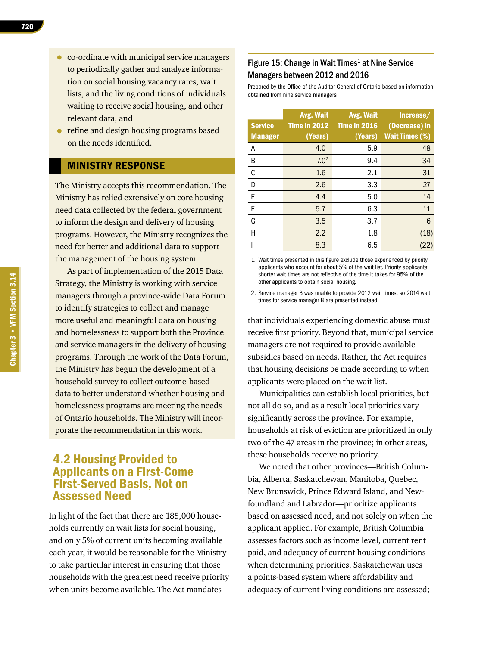- co-ordinate with municipal service managers to periodically gather and analyze information on social housing vacancy rates, wait lists, and the living conditions of individuals waiting to receive social housing, and other relevant data, and
- refine and design housing programs based on the needs identified.

# MINISTRY RESPONSE

The Ministry accepts this recommendation. The Ministry has relied extensively on core housing need data collected by the federal government to inform the design and delivery of housing programs. However, the Ministry recognizes the need for better and additional data to support the management of the housing system.

As part of implementation of the 2015 Data Strategy, the Ministry is working with service managers through a province-wide Data Forum to identify strategies to collect and manage more useful and meaningful data on housing and homelessness to support both the Province and service managers in the delivery of housing programs. Through the work of the Data Forum, the Ministry has begun the development of a household survey to collect outcome-based data to better understand whether housing and homelessness programs are meeting the needs of Ontario households. The Ministry will incorporate the recommendation in this work.

# 4.2 Housing Provided to Applicants on a First-Come First-Served Basis, Not on Assessed Need

In light of the fact that there are 185,000 households currently on wait lists for social housing, and only 5% of current units becoming available each year, it would be reasonable for the Ministry to take particular interest in ensuring that those households with the greatest need receive priority when units become available. The Act mandates

#### Figure 15: Change in Wait Times<sup>1</sup> at Nine Service Managers between 2012 and 2016

Prepared by the Office of the Auditor General of Ontario based on information obtained from nine service managers

|                | Avg. Wait        | Avg. Wait    | Increase/                                     |
|----------------|------------------|--------------|-----------------------------------------------|
| <b>Service</b> | Time in 2012     | Time in 2016 | (Decrease) in                                 |
| <b>Manager</b> | (Years)          | (Years)      | <b>Wait Times <math>\overline{(*)}</math></b> |
| А              | 4.0              | 5.9          | 48                                            |
| B              | 7.0 <sup>2</sup> | 9.4          | 34                                            |
| C              | 1.6              | 2.1          | 31                                            |
| D              | 2.6              | 3.3          | 27                                            |
| E              | 4.4              | 5.0          | 14                                            |
| F              | 5.7              | 6.3          | 11                                            |
| G              | 3.5              | 3.7          | 6                                             |
| Н              | 2.2              | 1.8          | (18)                                          |
|                | 8.3              | 6.5          | (22)                                          |

1. Wait times presented in this figure exclude those experienced by priority applicants who account for about 5% of the wait list. Priority applicants' shorter wait times are not reflective of the time it takes for 95% of the other applicants to obtain social housing.

2. Service manager B was unable to provide 2012 wait times, so 2014 wait times for service manager B are presented instead.

that individuals experiencing domestic abuse must receive first priority. Beyond that, municipal service managers are not required to provide available subsidies based on needs. Rather, the Act requires that housing decisions be made according to when applicants were placed on the wait list.

Municipalities can establish local priorities, but not all do so, and as a result local priorities vary significantly across the province. For example, households at risk of eviction are prioritized in only two of the 47 areas in the province; in other areas, these households receive no priority.

We noted that other provinces—British Columbia, Alberta, Saskatchewan, Manitoba, Quebec, New Brunswick, Prince Edward Island, and Newfoundland and Labrador—prioritize applicants based on assessed need, and not solely on when the applicant applied. For example, British Columbia assesses factors such as income level, current rent paid, and adequacy of current housing conditions when determining priorities. Saskatchewan uses a points-based system where affordability and adequacy of current living conditions are assessed;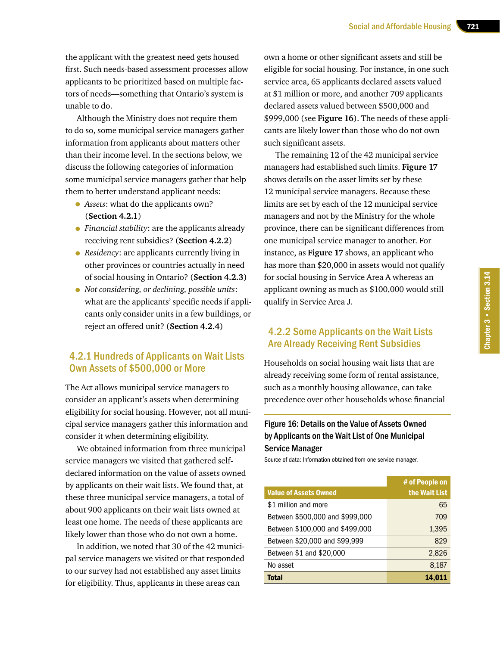the applicant with the greatest need gets housed first. Such needs-based assessment processes allow applicants to be prioritized based on multiple factors of needs—something that Ontario's system is unable to do.

Although the Ministry does not require them to do so, some municipal service managers gather information from applicants about matters other than their income level. In the sections below, we discuss the following categories of information some municipal service managers gather that help them to better understand applicant needs:

- *Assets*: what do the applicants own? (**Section 4.2.1**)
- *Financial stability*: are the applicants already receiving rent subsidies? (**Section 4.2.2**)
- *Residency*: are applicants currently living in other provinces or countries actually in need of social housing in Ontario? (**Section 4.2.3**)
- *Not considering, or declining, possible units*: what are the applicants' specific needs if applicants only consider units in a few buildings, or reject an offered unit? (**Section 4.2.4**)

#### 4.2.1 Hundreds of Applicants on Wait Lists Own Assets of \$500,000 or More

The Act allows municipal service managers to consider an applicant's assets when determining eligibility for social housing. However, not all municipal service managers gather this information and consider it when determining eligibility.

We obtained information from three municipal service managers we visited that gathered selfdeclared information on the value of assets owned by applicants on their wait lists. We found that, at these three municipal service managers, a total of about 900 applicants on their wait lists owned at least one home. The needs of these applicants are likely lower than those who do not own a home.

In addition, we noted that 30 of the 42 municipal service managers we visited or that responded to our survey had not established any asset limits for eligibility. Thus, applicants in these areas can

own a home or other significant assets and still be eligible for social housing. For instance, in one such service area, 65 applicants declared assets valued at \$1 million or more, and another 709 applicants declared assets valued between \$500,000 and \$999,000 (see **Figure 16**). The needs of these applicants are likely lower than those who do not own such significant assets.

The remaining 12 of the 42 municipal service managers had established such limits. **Figure 17**  shows details on the asset limits set by these 12 municipal service managers. Because these limits are set by each of the 12 municipal service managers and not by the Ministry for the whole province, there can be significant differences from one municipal service manager to another. For instance, as **Figure 17** shows, an applicant who has more than \$20,000 in assets would not qualify for social housing in Service Area A whereas an applicant owning as much as \$100,000 would still qualify in Service Area J.

#### 4.2.2 Some Applicants on the Wait Lists Are Already Receiving Rent Subsidies

Households on social housing wait lists that are already receiving some form of rental assistance, such as a monthly housing allowance, can take precedence over other households whose financial

# Figure 16: Details on the Value of Assets Owned by Applicants on the Wait List of One Municipal Service Manager

Source of data: Information obtained from one service manager.

|                                 | # of People on |
|---------------------------------|----------------|
| <b>Value of Assets Owned</b>    | the Wait List  |
| \$1 million and more            | 65             |
| Between \$500,000 and \$999,000 | 709            |
| Between \$100,000 and \$499,000 | 1,395          |
| Between \$20,000 and \$99,999   | 829            |
| Between \$1 and \$20,000        | 2,826          |
| No asset                        | 8,187          |
| <b>Total</b>                    | 14,011         |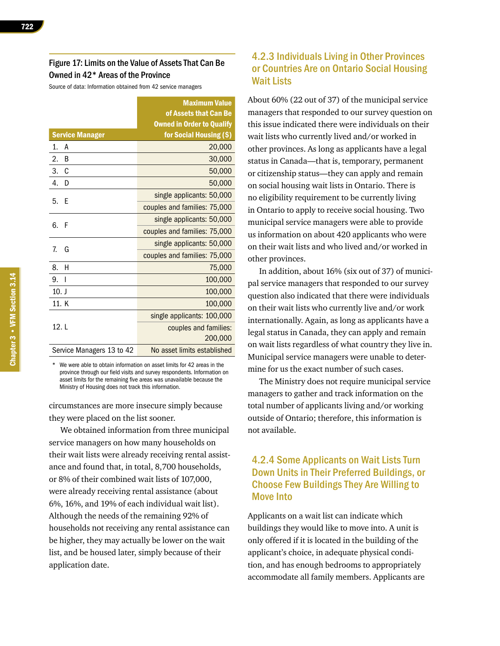Source of data: Information obtained from 42 service managers

|                           | <b>Maximum Value</b>             |
|---------------------------|----------------------------------|
|                           | of Assets that Can Be            |
|                           | <b>Owned in Order to Qualify</b> |
| <b>Service Manager</b>    | for Social Housing (\$)          |
| 1.<br>А                   | 20,000                           |
| 2.<br>B                   | 30,000                           |
| 3.<br>C                   | 50,000                           |
| 4.<br>D                   | 50,000                           |
| 5.                        | single applicants: 50,000        |
| Ε                         | couples and families: 75,000     |
| 6.<br>F                   | single applicants: 50,000        |
|                           | couples and families: 75,000     |
| 7.                        | single applicants: 50,000        |
| G                         | couples and families: 75,000     |
| н<br>8.                   | 75,000                           |
| 9.<br>- 1                 | 100,000                          |
| $10.$ J                   | 100,000                          |
| 11. K                     | 100,000                          |
|                           | single applicants: 100,000       |
| 12. L                     | couples and families:            |
|                           | 200,000                          |
| Service Managers 13 to 42 | No asset limits established      |

We were able to obtain information on asset limits for 42 areas in the province through our field visits and survey respondents. Information on asset limits for the remaining five areas was unavailable because the Ministry of Housing does not track this information.

circumstances are more insecure simply because they were placed on the list sooner.

We obtained information from three municipal service managers on how many households on their wait lists were already receiving rental assistance and found that, in total, 8,700 households, or 8% of their combined wait lists of 107,000, were already receiving rental assistance (about 6%, 16%, and 19% of each individual wait list). Although the needs of the remaining 92% of households not receiving any rental assistance can be higher, they may actually be lower on the wait list, and be housed later, simply because of their application date.

# 4.2.3 Individuals Living in Other Provinces or Countries Are on Ontario Social Housing Wait Lists

About 60% (22 out of 37) of the municipal service managers that responded to our survey question on this issue indicated there were individuals on their wait lists who currently lived and/or worked in other provinces. As long as applicants have a legal status in Canada—that is, temporary, permanent or citizenship status—they can apply and remain on social housing wait lists in Ontario. There is no eligibility requirement to be currently living in Ontario to apply to receive social housing. Two municipal service managers were able to provide us information on about 420 applicants who were on their wait lists and who lived and/or worked in other provinces.

In addition, about 16% (six out of 37) of municipal service managers that responded to our survey question also indicated that there were individuals on their wait lists who currently live and/or work internationally. Again, as long as applicants have a legal status in Canada, they can apply and remain on wait lists regardless of what country they live in. Municipal service managers were unable to determine for us the exact number of such cases.

The Ministry does not require municipal service managers to gather and track information on the total number of applicants living and/or working outside of Ontario; therefore, this information is not available.

# 4.2.4 Some Applicants on Wait Lists Turn Down Units in Their Preferred Buildings, or Choose Few Buildings They Are Willing to Move Into

Applicants on a wait list can indicate which buildings they would like to move into. A unit is only offered if it is located in the building of the applicant's choice, in adequate physical condition, and has enough bedrooms to appropriately accommodate all family members. Applicants are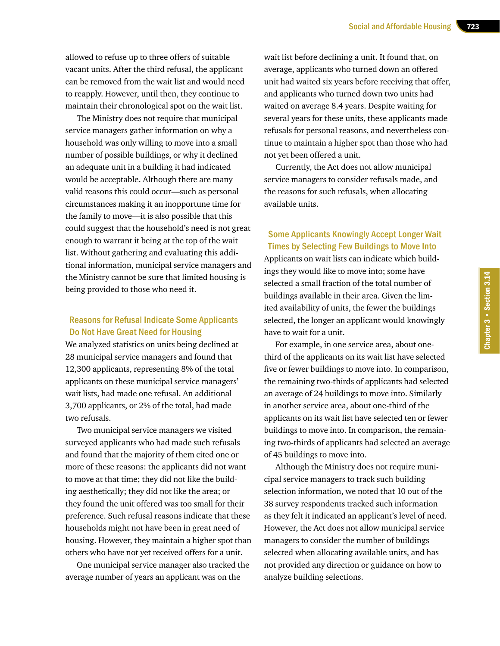allowed to refuse up to three offers of suitable vacant units. After the third refusal, the applicant can be removed from the wait list and would need to reapply. However, until then, they continue to maintain their chronological spot on the wait list.

The Ministry does not require that municipal service managers gather information on why a household was only willing to move into a small number of possible buildings, or why it declined an adequate unit in a building it had indicated would be acceptable. Although there are many valid reasons this could occur—such as personal circumstances making it an inopportune time for the family to move—it is also possible that this could suggest that the household's need is not great enough to warrant it being at the top of the wait list. Without gathering and evaluating this additional information, municipal service managers and the Ministry cannot be sure that limited housing is being provided to those who need it.

#### Reasons for Refusal Indicate Some Applicants Do Not Have Great Need for Housing

We analyzed statistics on units being declined at 28 municipal service managers and found that 12,300 applicants, representing 8% of the total applicants on these municipal service managers' wait lists, had made one refusal. An additional 3,700 applicants, or 2% of the total, had made two refusals.

Two municipal service managers we visited surveyed applicants who had made such refusals and found that the majority of them cited one or more of these reasons: the applicants did not want to move at that time; they did not like the building aesthetically; they did not like the area; or they found the unit offered was too small for their preference. Such refusal reasons indicate that these households might not have been in great need of housing. However, they maintain a higher spot than others who have not yet received offers for a unit.

One municipal service manager also tracked the average number of years an applicant was on the

wait list before declining a unit. It found that, on average, applicants who turned down an offered unit had waited six years before receiving that offer, and applicants who turned down two units had waited on average 8.4 years. Despite waiting for several years for these units, these applicants made refusals for personal reasons, and nevertheless continue to maintain a higher spot than those who had not yet been offered a unit.

Currently, the Act does not allow municipal service managers to consider refusals made, and the reasons for such refusals, when allocating available units.

# Some Applicants Knowingly Accept Longer Wait Times by Selecting Few Buildings to Move Into

Applicants on wait lists can indicate which buildings they would like to move into; some have selected a small fraction of the total number of buildings available in their area. Given the limited availability of units, the fewer the buildings selected, the longer an applicant would knowingly have to wait for a unit.

For example, in one service area, about onethird of the applicants on its wait list have selected five or fewer buildings to move into. In comparison, the remaining two-thirds of applicants had selected an average of 24 buildings to move into. Similarly in another service area, about one-third of the applicants on its wait list have selected ten or fewer buildings to move into. In comparison, the remaining two-thirds of applicants had selected an average of 45 buildings to move into.

Although the Ministry does not require municipal service managers to track such building selection information, we noted that 10 out of the 38 survey respondents tracked such information as they felt it indicated an applicant's level of need. However, the Act does not allow municipal service managers to consider the number of buildings selected when allocating available units, and has not provided any direction or guidance on how to analyze building selections.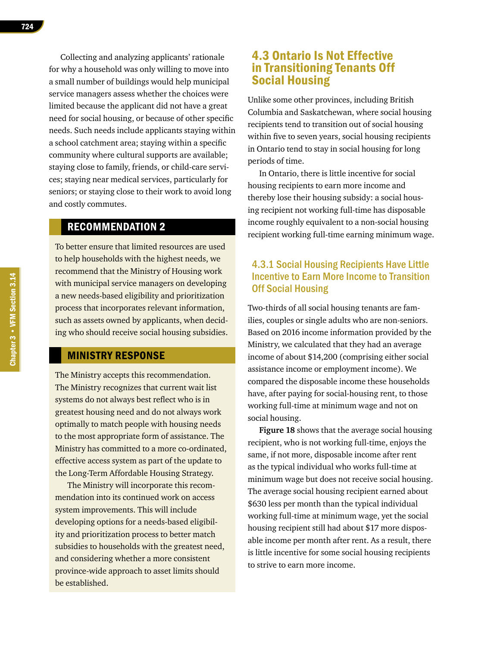Collecting and analyzing applicants' rationale for why a household was only willing to move into a small number of buildings would help municipal service managers assess whether the choices were limited because the applicant did not have a great need for social housing, or because of other specific needs. Such needs include applicants staying within a school catchment area; staying within a specific community where cultural supports are available; staying close to family, friends, or child-care services; staying near medical services, particularly for seniors; or staying close to their work to avoid long and costly commutes.

# RECOMMENDATION 2

To better ensure that limited resources are used to help households with the highest needs, we recommend that the Ministry of Housing work with municipal service managers on developing a new needs-based eligibility and prioritization process that incorporates relevant information, such as assets owned by applicants, when deciding who should receive social housing subsidies.

# MINISTRY RESPONSE

The Ministry accepts this recommendation. The Ministry recognizes that current wait list systems do not always best reflect who is in greatest housing need and do not always work optimally to match people with housing needs to the most appropriate form of assistance. The Ministry has committed to a more co-ordinated, effective access system as part of the update to the Long-Term Affordable Housing Strategy.

The Ministry will incorporate this recommendation into its continued work on access system improvements. This will include developing options for a needs-based eligibility and prioritization process to better match subsidies to households with the greatest need, and considering whether a more consistent province-wide approach to asset limits should be established.

# 4.3 Ontario Is Not Effective in Transitioning Tenants Off Social Housing

Unlike some other provinces, including British Columbia and Saskatchewan, where social housing recipients tend to transition out of social housing within five to seven years, social housing recipients in Ontario tend to stay in social housing for long periods of time.

In Ontario, there is little incentive for social housing recipients to earn more income and thereby lose their housing subsidy: a social housing recipient not working full-time has disposable income roughly equivalent to a non-social housing recipient working full-time earning minimum wage.

# 4.3.1 Social Housing Recipients Have Little Incentive to Earn More Income to Transition Off Social Housing

Two-thirds of all social housing tenants are families, couples or single adults who are non-seniors. Based on 2016 income information provided by the Ministry, we calculated that they had an average income of about \$14,200 (comprising either social assistance income or employment income). We compared the disposable income these households have, after paying for social-housing rent, to those working full-time at minimum wage and not on social housing.

**Figure 18** shows that the average social housing recipient, who is not working full-time, enjoys the same, if not more, disposable income after rent as the typical individual who works full-time at minimum wage but does not receive social housing. The average social housing recipient earned about \$630 less per month than the typical individual working full-time at minimum wage, yet the social housing recipient still had about \$17 more disposable income per month after rent. As a result, there is little incentive for some social housing recipients to strive to earn more income.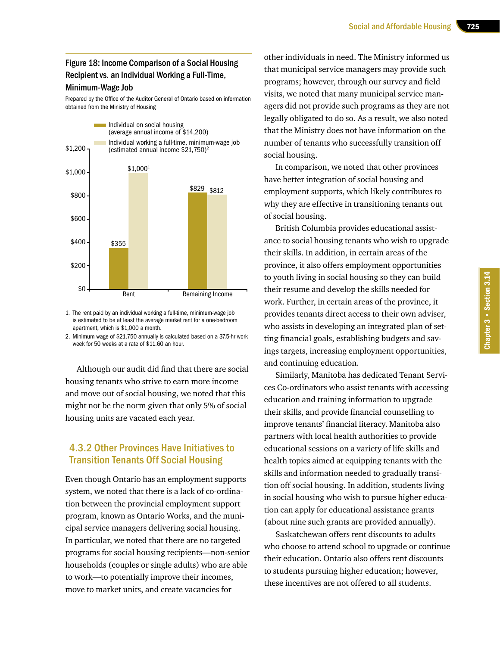#### Figure 18: Income Comparison of a Social Housing Recipient vs. an Individual Working a Full-Time, Minimum‑Wage Job

Prepared by the Office of the Auditor General of Ontario based on information obtained from the Ministry of Housing



1. The rent paid by an individual working a full-time, minimum-wage job is estimated to be at least the average market rent for a one-bedroom apartment, which is \$1,000 a month.

2. Minimum wage of \$21,750 annually is calculated based on a 37.5-hr work week for 50 weeks at a rate of \$11.60 an hour.

Although our audit did find that there are social housing tenants who strive to earn more income and move out of social housing, we noted that this might not be the norm given that only 5% of social housing units are vacated each year.

# 4.3.2 Other Provinces Have Initiatives to Transition Tenants Off Social Housing

Even though Ontario has an employment supports system, we noted that there is a lack of co-ordination between the provincial employment support program, known as Ontario Works, and the municipal service managers delivering social housing. In particular, we noted that there are no targeted programs for social housing recipients—non-senior households (couples or single adults) who are able to work—to potentially improve their incomes, move to market units, and create vacancies for

other individuals in need. The Ministry informed us that municipal service managers may provide such programs; however, through our survey and field visits, we noted that many municipal service managers did not provide such programs as they are not legally obligated to do so. As a result, we also noted that the Ministry does not have information on the number of tenants who successfully transition off social housing.

In comparison, we noted that other provinces have better integration of social housing and employment supports, which likely contributes to why they are effective in transitioning tenants out of social housing.

British Columbia provides educational assistance to social housing tenants who wish to upgrade their skills. In addition, in certain areas of the province, it also offers employment opportunities to youth living in social housing so they can build their resume and develop the skills needed for work. Further, in certain areas of the province, it provides tenants direct access to their own adviser, who assists in developing an integrated plan of setting financial goals, establishing budgets and savings targets, increasing employment opportunities, and continuing education.

Similarly, Manitoba has dedicated Tenant Services Co-ordinators who assist tenants with accessing education and training information to upgrade their skills, and provide financial counselling to improve tenants' financial literacy. Manitoba also partners with local health authorities to provide educational sessions on a variety of life skills and health topics aimed at equipping tenants with the skills and information needed to gradually transition off social housing. In addition, students living in social housing who wish to pursue higher education can apply for educational assistance grants (about nine such grants are provided annually).

Saskatchewan offers rent discounts to adults who choose to attend school to upgrade or continue their education. Ontario also offers rent discounts to students pursuing higher education; however, these incentives are not offered to all students.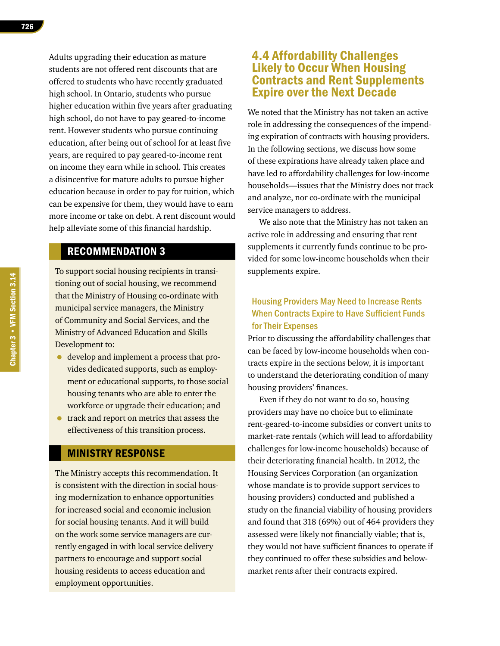Adults upgrading their education as mature students are not offered rent discounts that are offered to students who have recently graduated high school. In Ontario, students who pursue higher education within five years after graduating high school, do not have to pay geared-to-income rent. However students who pursue continuing education, after being out of school for at least five years, are required to pay geared-to-income rent on income they earn while in school. This creates a disincentive for mature adults to pursue higher education because in order to pay for tuition, which can be expensive for them, they would have to earn more income or take on debt. A rent discount would help alleviate some of this financial hardship.

# RECOMMENDATION 3

To support social housing recipients in transitioning out of social housing, we recommend that the Ministry of Housing co-ordinate with municipal service managers, the Ministry of Community and Social Services, and the Ministry of Advanced Education and Skills Development to:

- develop and implement a process that provides dedicated supports, such as employment or educational supports, to those social housing tenants who are able to enter the workforce or upgrade their education; and
- track and report on metrics that assess the effectiveness of this transition process.

#### MINISTRY RESPONSE

The Ministry accepts this recommendation. It is consistent with the direction in social housing modernization to enhance opportunities for increased social and economic inclusion for social housing tenants. And it will build on the work some service managers are currently engaged in with local service delivery partners to encourage and support social housing residents to access education and employment opportunities.

# 4.4 Affordability Challenges Likely to Occur When Housing Contracts and Rent Supplements Expire over the Next Decade

We noted that the Ministry has not taken an active role in addressing the consequences of the impending expiration of contracts with housing providers. In the following sections, we discuss how some of these expirations have already taken place and have led to affordability challenges for low-income households—issues that the Ministry does not track and analyze, nor co-ordinate with the municipal service managers to address.

We also note that the Ministry has not taken an active role in addressing and ensuring that rent supplements it currently funds continue to be provided for some low-income households when their supplements expire.

# Housing Providers May Need to Increase Rents When Contracts Expire to Have Sufficient Funds for Their Expenses

Prior to discussing the affordability challenges that can be faced by low-income households when contracts expire in the sections below, it is important to understand the deteriorating condition of many housing providers' finances.

Even if they do not want to do so, housing providers may have no choice but to eliminate rent-geared-to-income subsidies or convert units to market-rate rentals (which will lead to affordability challenges for low-income households) because of their deteriorating financial health. In 2012, the Housing Services Corporation (an organization whose mandate is to provide support services to housing providers) conducted and published a study on the financial viability of housing providers and found that 318 (69%) out of 464 providers they assessed were likely not financially viable; that is, they would not have sufficient finances to operate if they continued to offer these subsidies and belowmarket rents after their contracts expired.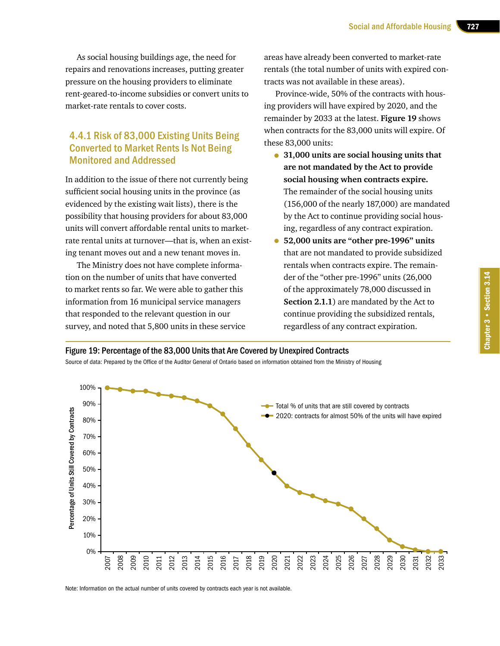As social housing buildings age, the need for repairs and renovations increases, putting greater pressure on the housing providers to eliminate rent-geared-to-income subsidies or convert units to market-rate rentals to cover costs.

# 4.4.1 Risk of 83,000 Existing Units Being Converted to Market Rents Is Not Being Monitored and Addressed

In addition to the issue of there not currently being sufficient social housing units in the province (as evidenced by the existing wait lists), there is the possibility that housing providers for about 83,000 units will convert affordable rental units to marketrate rental units at turnover—that is, when an existing tenant moves out and a new tenant moves in.

The Ministry does not have complete information on the number of units that have converted to market rents so far. We were able to gather this information from 16 municipal service managers that responded to the relevant question in our survey, and noted that 5,800 units in these service

areas have already been converted to market-rate rentals (the total number of units with expired contracts was not available in these areas).

Province-wide, 50% of the contracts with housing providers will have expired by 2020, and the remainder by 2033 at the latest. **Figure 19** shows when contracts for the 83,000 units will expire. Of these 83,000 units:

- **31,000 units are social housing units that are not mandated by the Act to provide social housing when contracts expire.**  The remainder of the social housing units (156,000 of the nearly 187,000) are mandated by the Act to continue providing social housing, regardless of any contract expiration.
- **52,000 units are "other pre-1996" units**  that are not mandated to provide subsidized rentals when contracts expire. The remainder of the "other pre-1996" units (26,000 of the approximately 78,000 discussed in **Section 2.1.1**) are mandated by the Act to continue providing the subsidized rentals, regardless of any contract expiration.

#### Figure 19: Percentage of the 83,000 Units that Are Covered by Unexpired Contracts

Source of data: Prepared by the Office of the Auditor General of Ontario based on information obtained from the Ministry of Housing



Note: Information on the actual number of units covered by contracts each year is not available.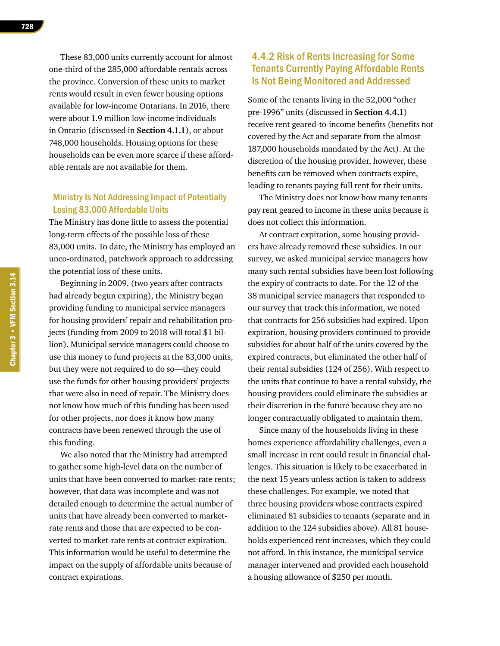These 83,000 units currently account for almost one-third of the 285,000 affordable rentals across the province. Conversion of these units to market rents would result in even fewer housing options available for low-income Ontarians. In 2016, there were about 1.9 million low-income individuals in Ontario (discussed in **Section 4.1.1**), or about 748,000 households. Housing options for these households can be even more scarce if these affordable rentals are not available for them.

#### Ministry Is Not Addressing Impact of Potentially Losing 83,000 Affordable Units

The Ministry has done little to assess the potential long-term effects of the possible loss of these 83,000 units. To date, the Ministry has employed an unco-ordinated, patchwork approach to addressing the potential loss of these units.

Beginning in 2009, (two years after contracts had already begun expiring), the Ministry began providing funding to municipal service managers for housing providers' repair and rehabilitation projects (funding from 2009 to 2018 will total \$1 billion). Municipal service managers could choose to use this money to fund projects at the 83,000 units, but they were not required to do so—they could use the funds for other housing providers' projects that were also in need of repair. The Ministry does not know how much of this funding has been used for other projects, nor does it know how many contracts have been renewed through the use of this funding.

We also noted that the Ministry had attempted to gather some high-level data on the number of units that have been converted to market-rate rents; however, that data was incomplete and was not detailed enough to determine the actual number of units that have already been converted to marketrate rents and those that are expected to be converted to market-rate rents at contract expiration. This information would be useful to determine the impact on the supply of affordable units because of contract expirations.

# 4.4.2 Risk of Rents Increasing for Some Tenants Currently Paying Affordable Rents Is Not Being Monitored and Addressed

Some of the tenants living in the 52,000 "other pre-1996" units (discussed in **Section 4.4.1**) receive rent geared-to-income benefits (benefits not covered by the Act and separate from the almost 187,000 households mandated by the Act). At the discretion of the housing provider, however, these benefits can be removed when contracts expire, leading to tenants paying full rent for their units.

The Ministry does not know how many tenants pay rent geared to income in these units because it does not collect this information.

At contract expiration, some housing providers have already removed these subsidies. In our survey, we asked municipal service managers how many such rental subsidies have been lost following the expiry of contracts to date. For the 12 of the 38 municipal service managers that responded to our survey that track this information, we noted that contracts for 256 subsidies had expired. Upon expiration, housing providers continued to provide subsidies for about half of the units covered by the expired contracts, but eliminated the other half of their rental subsidies (124 of 256). With respect to the units that continue to have a rental subsidy, the housing providers could eliminate the subsidies at their discretion in the future because they are no longer contractually obligated to maintain them.

Since many of the households living in these homes experience affordability challenges, even a small increase in rent could result in financial challenges. This situation is likely to be exacerbated in the next 15 years unless action is taken to address these challenges. For example, we noted that three housing providers whose contracts expired eliminated 81 subsidies to tenants (separate and in addition to the 124 subsidies above). All 81 households experienced rent increases, which they could not afford. In this instance, the municipal service manager intervened and provided each household a housing allowance of \$250 per month.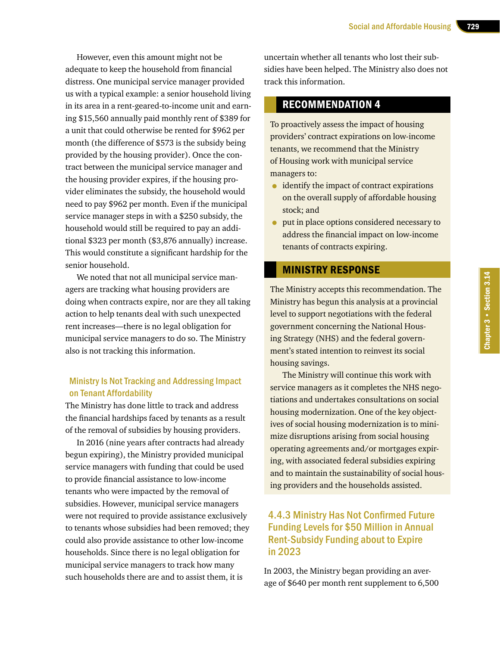However, even this amount might not be adequate to keep the household from financial distress. One municipal service manager provided us with a typical example: a senior household living in its area in a rent-geared-to-income unit and earning \$15,560 annually paid monthly rent of \$389 for a unit that could otherwise be rented for \$962 per month (the difference of \$573 is the subsidy being provided by the housing provider). Once the contract between the municipal service manager and the housing provider expires, if the housing provider eliminates the subsidy, the household would need to pay \$962 per month. Even if the municipal service manager steps in with a \$250 subsidy, the household would still be required to pay an additional \$323 per month (\$3,876 annually) increase. This would constitute a significant hardship for the senior household.

We noted that not all municipal service managers are tracking what housing providers are doing when contracts expire, nor are they all taking action to help tenants deal with such unexpected rent increases—there is no legal obligation for municipal service managers to do so. The Ministry also is not tracking this information.

#### Ministry Is Not Tracking and Addressing Impact on Tenant Affordability

The Ministry has done little to track and address the financial hardships faced by tenants as a result of the removal of subsidies by housing providers.

In 2016 (nine years after contracts had already begun expiring), the Ministry provided municipal service managers with funding that could be used to provide financial assistance to low-income tenants who were impacted by the removal of subsidies. However, municipal service managers were not required to provide assistance exclusively to tenants whose subsidies had been removed; they could also provide assistance to other low-income households. Since there is no legal obligation for municipal service managers to track how many such households there are and to assist them, it is

uncertain whether all tenants who lost their subsidies have been helped. The Ministry also does not track this information.

# RECOMMENDATION 4

To proactively assess the impact of housing providers' contract expirations on low-income tenants, we recommend that the Ministry of Housing work with municipal service managers to:

- identify the impact of contract expirations on the overall supply of affordable housing stock; and
- put in place options considered necessary to address the financial impact on low-income tenants of contracts expiring.

# MINISTRY RESPONSE

The Ministry accepts this recommendation. The Ministry has begun this analysis at a provincial level to support negotiations with the federal government concerning the National Housing Strategy (NHS) and the federal government's stated intention to reinvest its social housing savings.

The Ministry will continue this work with service managers as it completes the NHS negotiations and undertakes consultations on social housing modernization. One of the key objectives of social housing modernization is to minimize disruptions arising from social housing operating agreements and/or mortgages expiring, with associated federal subsidies expiring and to maintain the sustainability of social housing providers and the households assisted.

# 4.4.3 Ministry Has Not Confirmed Future Funding Levels for \$50 Million in Annual Rent-Subsidy Funding about to Expire in 2023

In 2003, the Ministry began providing an average of \$640 per month rent supplement to 6,500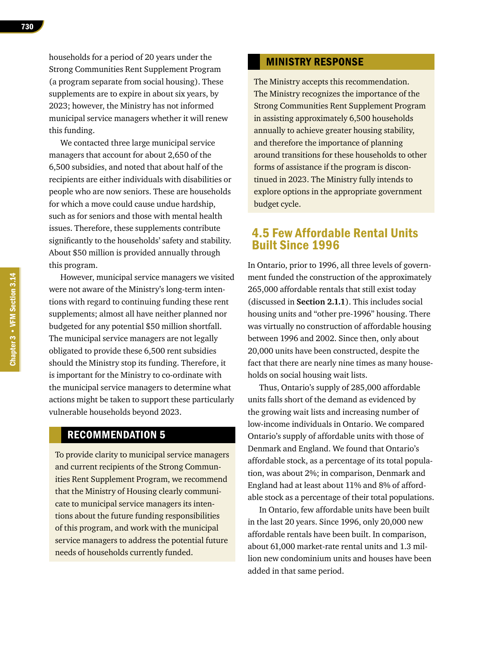households for a period of 20 years under the Strong Communities Rent Supplement Program (a program separate from social housing). These supplements are to expire in about six years, by 2023; however, the Ministry has not informed municipal service managers whether it will renew this funding.

We contacted three large municipal service managers that account for about 2,650 of the 6,500 subsidies, and noted that about half of the recipients are either individuals with disabilities or people who are now seniors. These are households for which a move could cause undue hardship, such as for seniors and those with mental health issues. Therefore, these supplements contribute significantly to the households' safety and stability. About \$50 million is provided annually through this program.

However, municipal service managers we visited were not aware of the Ministry's long-term intentions with regard to continuing funding these rent supplements; almost all have neither planned nor budgeted for any potential \$50 million shortfall. The municipal service managers are not legally obligated to provide these 6,500 rent subsidies should the Ministry stop its funding. Therefore, it is important for the Ministry to co-ordinate with the municipal service managers to determine what actions might be taken to support these particularly vulnerable households beyond 2023.

#### RECOMMENDATION 5

To provide clarity to municipal service managers and current recipients of the Strong Communities Rent Supplement Program, we recommend that the Ministry of Housing clearly communicate to municipal service managers its intentions about the future funding responsibilities of this program, and work with the municipal service managers to address the potential future needs of households currently funded.

#### MINISTRY RESPONSE

The Ministry accepts this recommendation. The Ministry recognizes the importance of the Strong Communities Rent Supplement Program in assisting approximately 6,500 households annually to achieve greater housing stability, and therefore the importance of planning around transitions for these households to other forms of assistance if the program is discontinued in 2023. The Ministry fully intends to explore options in the appropriate government budget cycle.

# 4.5 Few Affordable Rental Units Built Since 1996

In Ontario, prior to 1996, all three levels of government funded the construction of the approximately 265,000 affordable rentals that still exist today (discussed in **Section 2.1.1**). This includes social housing units and "other pre-1996" housing. There was virtually no construction of affordable housing between 1996 and 2002. Since then, only about 20,000 units have been constructed, despite the fact that there are nearly nine times as many households on social housing wait lists.

Thus, Ontario's supply of 285,000 affordable units falls short of the demand as evidenced by the growing wait lists and increasing number of low-income individuals in Ontario. We compared Ontario's supply of affordable units with those of Denmark and England. We found that Ontario's affordable stock, as a percentage of its total population, was about 2%; in comparison, Denmark and England had at least about 11% and 8% of affordable stock as a percentage of their total populations.

In Ontario, few affordable units have been built in the last 20 years. Since 1996, only 20,000 new affordable rentals have been built. In comparison, about 61,000 market-rate rental units and 1.3 million new condominium units and houses have been added in that same period.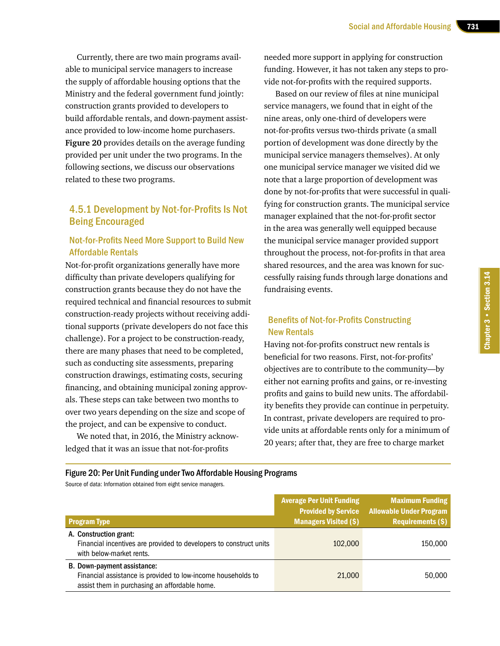Currently, there are two main programs available to municipal service managers to increase the supply of affordable housing options that the Ministry and the federal government fund jointly: construction grants provided to developers to build affordable rentals, and down-payment assistance provided to low-income home purchasers. **Figure 20** provides details on the average funding provided per unit under the two programs. In the following sections, we discuss our observations related to these two programs.

# 4.5.1 Development by Not-for-Profits Is Not Being Encouraged

#### Not-for-Profits Need More Support to Build New Affordable Rentals

Not-for-profit organizations generally have more difficulty than private developers qualifying for construction grants because they do not have the required technical and financial resources to submit construction-ready projects without receiving additional supports (private developers do not face this challenge). For a project to be construction-ready, there are many phases that need to be completed, such as conducting site assessments, preparing construction drawings, estimating costs, securing financing, and obtaining municipal zoning approvals. These steps can take between two months to over two years depending on the size and scope of the project, and can be expensive to conduct.

We noted that, in 2016, the Ministry acknowledged that it was an issue that not-for-profits

needed more support in applying for construction funding. However, it has not taken any steps to provide not-for-profits with the required supports.

Based on our review of files at nine municipal service managers, we found that in eight of the nine areas, only one-third of developers were not-for-profits versus two-thirds private (a small portion of development was done directly by the municipal service managers themselves). At only one municipal service manager we visited did we note that a large proportion of development was done by not-for-profits that were successful in qualifying for construction grants. The municipal service manager explained that the not-for-profit sector in the area was generally well equipped because the municipal service manager provided support throughout the process, not-for-profits in that area shared resources, and the area was known for successfully raising funds through large donations and fundraising events.

#### Benefits of Not-for-Profits Constructing New Rentals

Having not-for-profits construct new rentals is beneficial for two reasons. First, not-for-profits' objectives are to contribute to the community—by either not earning profits and gains, or re-investing profits and gains to build new units. The affordability benefits they provide can continue in perpetuity. In contrast, private developers are required to provide units at affordable rents only for a minimum of 20 years; after that, they are free to charge market

Figure 20: Per Unit Funding under Two Affordable Housing Programs

Source of data: Information obtained from eight service managers.

| <b>Program Type</b>                                                                                                                          | <b>Average Per Unit Funding</b><br><b>Provided by Service</b><br><b>Managers Visited (\$)</b> | <b>Maximum Funding</b><br><b>Allowable Under Program</b><br>Requirements (\$) |
|----------------------------------------------------------------------------------------------------------------------------------------------|-----------------------------------------------------------------------------------------------|-------------------------------------------------------------------------------|
| A. Construction grant:<br>Financial incentives are provided to developers to construct units<br>with below-market rents.                     | 102,000                                                                                       | 150,000                                                                       |
| B. Down-payment assistance:<br>Financial assistance is provided to low-income households to<br>assist them in purchasing an affordable home. | 21,000                                                                                        | 50,000                                                                        |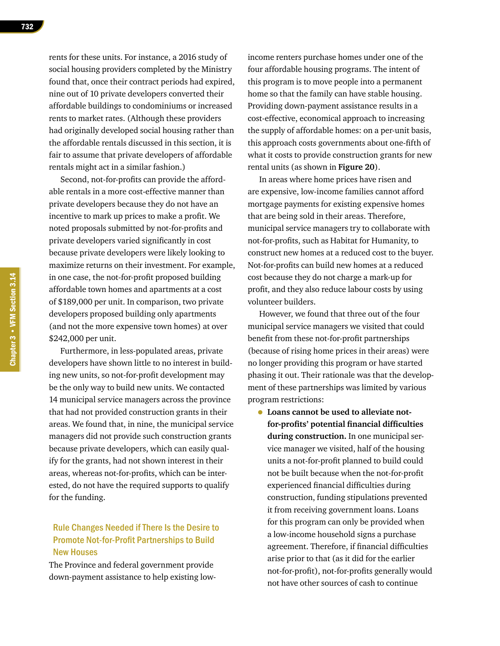rents for these units. For instance, a 2016 study of social housing providers completed by the Ministry found that, once their contract periods had expired, nine out of 10 private developers converted their affordable buildings to condominiums or increased rents to market rates. (Although these providers had originally developed social housing rather than the affordable rentals discussed in this section, it is fair to assume that private developers of affordable rentals might act in a similar fashion.)

Second, not-for-profits can provide the affordable rentals in a more cost-effective manner than private developers because they do not have an incentive to mark up prices to make a profit. We noted proposals submitted by not-for-profits and private developers varied significantly in cost because private developers were likely looking to maximize returns on their investment. For example, in one case, the not-for-profit proposed building affordable town homes and apartments at a cost of \$189,000 per unit. In comparison, two private developers proposed building only apartments (and not the more expensive town homes) at over \$242,000 per unit.

Furthermore, in less-populated areas, private developers have shown little to no interest in building new units, so not-for-profit development may be the only way to build new units. We contacted 14 municipal service managers across the province that had not provided construction grants in their areas. We found that, in nine, the municipal service managers did not provide such construction grants because private developers, which can easily qualify for the grants, had not shown interest in their areas, whereas not-for-profits, which can be interested, do not have the required supports to qualify for the funding.

# Rule Changes Needed if There Is the Desire to Promote Not-for-Profit Partnerships to Build New Houses

The Province and federal government provide down-payment assistance to help existing lowincome renters purchase homes under one of the four affordable housing programs. The intent of this program is to move people into a permanent home so that the family can have stable housing. Providing down-payment assistance results in a cost-effective, economical approach to increasing the supply of affordable homes: on a per-unit basis, this approach costs governments about one-fifth of what it costs to provide construction grants for new rental units (as shown in **Figure 20**).

In areas where home prices have risen and are expensive, low-income families cannot afford mortgage payments for existing expensive homes that are being sold in their areas. Therefore, municipal service managers try to collaborate with not-for-profits, such as Habitat for Humanity, to construct new homes at a reduced cost to the buyer. Not-for-profits can build new homes at a reduced cost because they do not charge a mark-up for profit, and they also reduce labour costs by using volunteer builders.

However, we found that three out of the four municipal service managers we visited that could benefit from these not-for-profit partnerships (because of rising home prices in their areas) were no longer providing this program or have started phasing it out. Their rationale was that the development of these partnerships was limited by various program restrictions:

• **Loans cannot be used to alleviate notfor-profits' potential financial difficulties during construction.** In one municipal service manager we visited, half of the housing units a not-for-profit planned to build could not be built because when the not-for-profit experienced financial difficulties during construction, funding stipulations prevented it from receiving government loans. Loans for this program can only be provided when a low-income household signs a purchase agreement. Therefore, if financial difficulties arise prior to that (as it did for the earlier not-for-profit), not-for-profits generally would not have other sources of cash to continue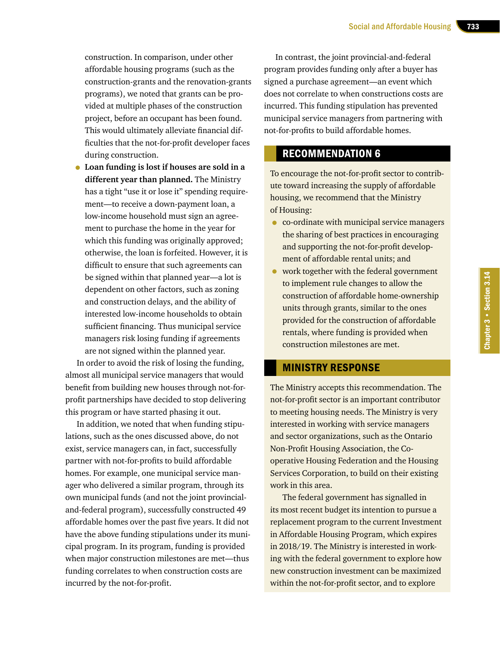construction. In comparison, under other affordable housing programs (such as the construction-grants and the renovation-grants programs), we noted that grants can be provided at multiple phases of the construction project, before an occupant has been found. This would ultimately alleviate financial difficulties that the not-for-profit developer faces during construction.

• **Loan funding is lost if houses are sold in a different year than planned.** The Ministry has a tight "use it or lose it" spending requirement—to receive a down-payment loan, a low-income household must sign an agreement to purchase the home in the year for which this funding was originally approved; otherwise, the loan is forfeited. However, it is difficult to ensure that such agreements can be signed within that planned year—a lot is dependent on other factors, such as zoning and construction delays, and the ability of interested low-income households to obtain sufficient financing. Thus municipal service managers risk losing funding if agreements are not signed within the planned year.

In order to avoid the risk of losing the funding, almost all municipal service managers that would benefit from building new houses through not-forprofit partnerships have decided to stop delivering this program or have started phasing it out.

In addition, we noted that when funding stipulations, such as the ones discussed above, do not exist, service managers can, in fact, successfully partner with not-for-profits to build affordable homes. For example, one municipal service manager who delivered a similar program, through its own municipal funds (and not the joint provincialand-federal program), successfully constructed 49 affordable homes over the past five years. It did not have the above funding stipulations under its municipal program. In its program, funding is provided when major construction milestones are met—thus funding correlates to when construction costs are incurred by the not-for-profit.

In contrast, the joint provincial-and-federal program provides funding only after a buyer has signed a purchase agreement—an event which does not correlate to when constructions costs are incurred. This funding stipulation has prevented municipal service managers from partnering with not-for-profits to build affordable homes.

# RECOMMENDATION 6

To encourage the not-for-profit sector to contribute toward increasing the supply of affordable housing, we recommend that the Ministry of Housing:

- co-ordinate with municipal service managers the sharing of best practices in encouraging and supporting the not-for-profit development of affordable rental units; and
- work together with the federal government to implement rule changes to allow the construction of affordable home-ownership units through grants, similar to the ones provided for the construction of affordable rentals, where funding is provided when construction milestones are met.

#### MINISTRY RESPONSE

The Ministry accepts this recommendation. The not-for-profit sector is an important contributor to meeting housing needs. The Ministry is very interested in working with service managers and sector organizations, such as the Ontario Non-Profit Housing Association, the Cooperative Housing Federation and the Housing Services Corporation, to build on their existing work in this area.

The federal government has signalled in its most recent budget its intention to pursue a replacement program to the current Investment in Affordable Housing Program, which expires in 2018/19. The Ministry is interested in working with the federal government to explore how new construction investment can be maximized within the not-for-profit sector, and to explore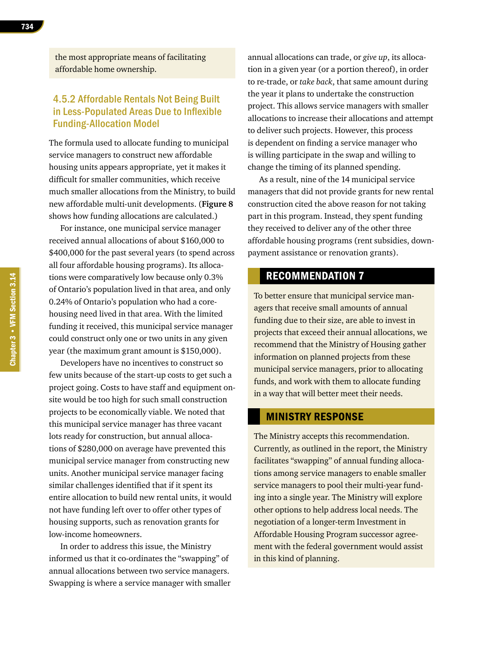the most appropriate means of facilitating affordable home ownership.

# 4.5.2 Affordable Rentals Not Being Built in Less-Populated Areas Due to Inflexible Funding-Allocation Model

The formula used to allocate funding to municipal service managers to construct new affordable housing units appears appropriate, yet it makes it difficult for smaller communities, which receive much smaller allocations from the Ministry, to build new affordable multi-unit developments. (**Figure 8**  shows how funding allocations are calculated.)

For instance, one municipal service manager received annual allocations of about \$160,000 to \$400,000 for the past several years (to spend across all four affordable housing programs). Its allocations were comparatively low because only 0.3% of Ontario's population lived in that area, and only 0.24% of Ontario's population who had a corehousing need lived in that area. With the limited funding it received, this municipal service manager could construct only one or two units in any given year (the maximum grant amount is \$150,000).

Developers have no incentives to construct so few units because of the start-up costs to get such a project going. Costs to have staff and equipment onsite would be too high for such small construction projects to be economically viable. We noted that this municipal service manager has three vacant lots ready for construction, but annual allocations of \$280,000 on average have prevented this municipal service manager from constructing new units. Another municipal service manager facing similar challenges identified that if it spent its entire allocation to build new rental units, it would not have funding left over to offer other types of housing supports, such as renovation grants for low-income homeowners.

In order to address this issue, the Ministry informed us that it co-ordinates the "swapping" of annual allocations between two service managers. Swapping is where a service manager with smaller annual allocations can trade, or *give up*, its allocation in a given year (or a portion thereof), in order to re-trade, or *take back*, that same amount during the year it plans to undertake the construction project. This allows service managers with smaller allocations to increase their allocations and attempt to deliver such projects. However, this process is dependent on finding a service manager who is willing participate in the swap and willing to change the timing of its planned spending.

As a result, nine of the 14 municipal service managers that did not provide grants for new rental construction cited the above reason for not taking part in this program. Instead, they spent funding they received to deliver any of the other three affordable housing programs (rent subsidies, downpayment assistance or renovation grants).

# RECOMMENDATION 7

To better ensure that municipal service managers that receive small amounts of annual funding due to their size, are able to invest in projects that exceed their annual allocations, we recommend that the Ministry of Housing gather information on planned projects from these municipal service managers, prior to allocating funds, and work with them to allocate funding in a way that will better meet their needs.

#### MINISTRY RESPONSE

The Ministry accepts this recommendation. Currently, as outlined in the report, the Ministry facilitates "swapping" of annual funding allocations among service managers to enable smaller service managers to pool their multi-year funding into a single year. The Ministry will explore other options to help address local needs. The negotiation of a longer-term Investment in Affordable Housing Program successor agreement with the federal government would assist in this kind of planning.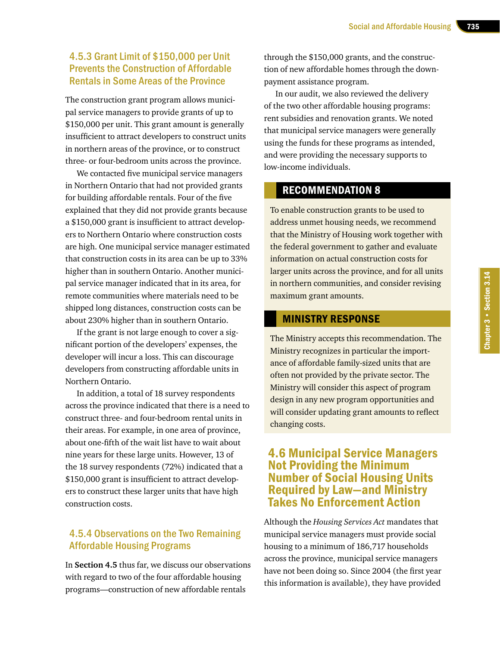# 4.5.3 Grant Limit of \$150,000 per Unit Prevents the Construction of Affordable Rentals in Some Areas of the Province

The construction grant program allows municipal service managers to provide grants of up to \$150,000 per unit. This grant amount is generally insufficient to attract developers to construct units in northern areas of the province, or to construct three- or four-bedroom units across the province.

We contacted five municipal service managers in Northern Ontario that had not provided grants for building affordable rentals. Four of the five explained that they did not provide grants because a \$150,000 grant is insufficient to attract developers to Northern Ontario where construction costs are high. One municipal service manager estimated that construction costs in its area can be up to 33% higher than in southern Ontario. Another municipal service manager indicated that in its area, for remote communities where materials need to be shipped long distances, construction costs can be about 230% higher than in southern Ontario.

If the grant is not large enough to cover a significant portion of the developers' expenses, the developer will incur a loss. This can discourage developers from constructing affordable units in Northern Ontario.

In addition, a total of 18 survey respondents across the province indicated that there is a need to construct three- and four-bedroom rental units in their areas. For example, in one area of province, about one-fifth of the wait list have to wait about nine years for these large units. However, 13 of the 18 survey respondents (72%) indicated that a \$150,000 grant is insufficient to attract developers to construct these larger units that have high construction costs.

# 4.5.4 Observations on the Two Remaining Affordable Housing Programs

In **Section 4.5** thus far, we discuss our observations with regard to two of the four affordable housing programs—construction of new affordable rentals

through the \$150,000 grants, and the construction of new affordable homes through the downpayment assistance program.

In our audit, we also reviewed the delivery of the two other affordable housing programs: rent subsidies and renovation grants. We noted that municipal service managers were generally using the funds for these programs as intended, and were providing the necessary supports to low-income individuals.

#### RECOMMENDATION 8

To enable construction grants to be used to address unmet housing needs, we recommend that the Ministry of Housing work together with the federal government to gather and evaluate information on actual construction costs for larger units across the province, and for all units in northern communities, and consider revising maximum grant amounts.

#### MINISTRY RESPONSE

The Ministry accepts this recommendation. The Ministry recognizes in particular the importance of affordable family-sized units that are often not provided by the private sector. The Ministry will consider this aspect of program design in any new program opportunities and will consider updating grant amounts to reflect changing costs.

# 4.6 Municipal Service Managers Not Providing the Minimum Number of Social Housing Units Required by Law—and Ministry Takes No Enforcement Action

Although the *Housing Services Act* mandates that municipal service managers must provide social housing to a minimum of 186,717 households across the province, municipal service managers have not been doing so. Since 2004 (the first year this information is available), they have provided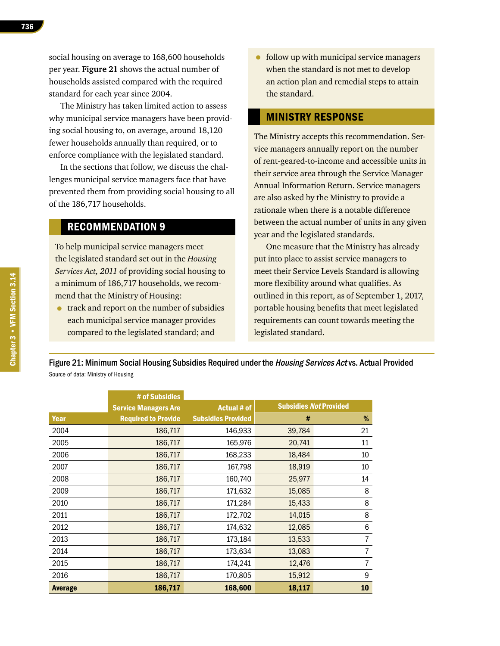The Ministry has taken limited action to assess why municipal service managers have been providing social housing to, on average, around 18,120 fewer households annually than required, or to enforce compliance with the legislated standard.

In the sections that follow, we discuss the challenges municipal service managers face that have prevented them from providing social housing to all of the 186,717 households.

#### RECOMMENDATION 9

To help municipal service managers meet the legislated standard set out in the *Housing Services Act, 2011* of providing social housing to a minimum of 186,717 households, we recommend that the Ministry of Housing:

• track and report on the number of subsidies each municipal service manager provides compared to the legislated standard; and

• follow up with municipal service managers when the standard is not met to develop an action plan and remedial steps to attain the standard.

#### MINISTRY RESPONSE

The Ministry accepts this recommendation. Service managers annually report on the number of rent-geared-to-income and accessible units in their service area through the Service Manager Annual Information Return. Service managers are also asked by the Ministry to provide a rationale when there is a notable difference between the actual number of units in any given year and the legislated standards.

One measure that the Ministry has already put into place to assist service managers to meet their Service Levels Standard is allowing more flexibility around what qualifies. As outlined in this report, as of September 1, 2017, portable housing benefits that meet legislated requirements can count towards meeting the legislated standard.

Figure 21: Minimum Social Housing Subsidies Required under the Housing Services Act vs. Actual Provided Source of data: Ministry of Housing

|                | # of Subsidies              |                           |                               |      |
|----------------|-----------------------------|---------------------------|-------------------------------|------|
|                | <b>Service Managers Are</b> | <b>Actual # of</b>        | <b>Subsidies Not Provided</b> |      |
| Year           | <b>Required to Provide</b>  | <b>Subsidies Provided</b> | #                             | $\%$ |
| 2004           | 186,717                     | 146,933                   | 39,784                        | 21   |
| 2005           | 186,717                     | 165,976                   | 20,741                        | 11   |
| 2006           | 186,717                     | 168,233                   | 18,484                        | 10   |
| 2007           | 186,717                     | 167,798                   | 18,919                        | 10   |
| 2008           | 186,717                     | 160,740                   | 25,977                        | 14   |
| 2009           | 186,717                     | 171,632                   | 15,085                        | 8    |
| 2010           | 186,717                     | 171,284                   | 15,433                        | 8    |
| 2011           | 186,717                     | 172,702                   | 14,015                        | 8    |
| 2012           | 186,717                     | 174,632                   | 12,085                        | 6    |
| 2013           | 186,717                     | 173,184                   | 13,533                        | 7    |
| 2014           | 186,717                     | 173,634                   | 13,083                        | 7    |
| 2015           | 186,717                     | 174,241                   | 12,476                        | 7    |
| 2016           | 186,717                     | 170,805                   | 15,912                        | 9    |
| <b>Average</b> | 186,717                     | 168,600                   | 18,117                        | 10   |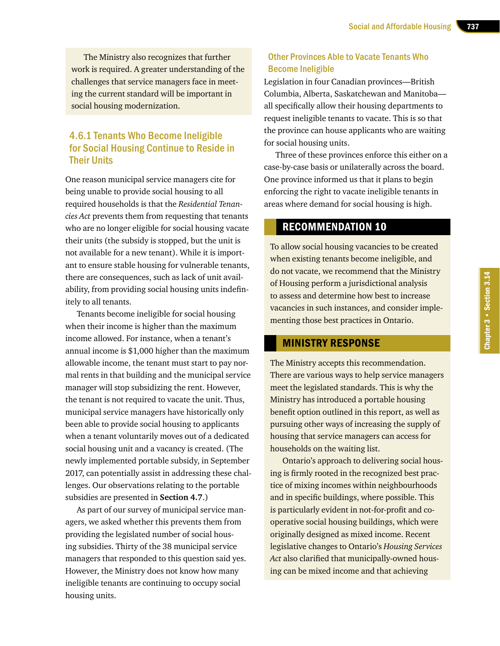The Ministry also recognizes that further work is required. A greater understanding of the challenges that service managers face in meeting the current standard will be important in social housing modernization.

# 4.6.1 Tenants Who Become Ineligible for Social Housing Continue to Reside in Their Units

One reason municipal service managers cite for being unable to provide social housing to all required households is that the *Residential Tenancies Act* prevents them from requesting that tenants who are no longer eligible for social housing vacate their units (the subsidy is stopped, but the unit is not available for a new tenant). While it is important to ensure stable housing for vulnerable tenants, there are consequences, such as lack of unit availability, from providing social housing units indefinitely to all tenants.

Tenants become ineligible for social housing when their income is higher than the maximum income allowed. For instance, when a tenant's annual income is \$1,000 higher than the maximum allowable income, the tenant must start to pay normal rents in that building and the municipal service manager will stop subsidizing the rent. However, the tenant is not required to vacate the unit. Thus, municipal service managers have historically only been able to provide social housing to applicants when a tenant voluntarily moves out of a dedicated social housing unit and a vacancy is created. (The newly implemented portable subsidy, in September 2017, can potentially assist in addressing these challenges. Our observations relating to the portable subsidies are presented in **Section 4.7**.)

As part of our survey of municipal service managers, we asked whether this prevents them from providing the legislated number of social housing subsidies. Thirty of the 38 municipal service managers that responded to this question said yes. However, the Ministry does not know how many ineligible tenants are continuing to occupy social housing units.

# Other Provinces Able to Vacate Tenants Who Become Ineligible

Legislation in four Canadian provinces—British Columbia, Alberta, Saskatchewan and Manitoba all specifically allow their housing departments to request ineligible tenants to vacate. This is so that the province can house applicants who are waiting for social housing units.

Three of these provinces enforce this either on a case-by-case basis or unilaterally across the board. One province informed us that it plans to begin enforcing the right to vacate ineligible tenants in areas where demand for social housing is high.

# RECOMMENDATION 10

To allow social housing vacancies to be created when existing tenants become ineligible, and do not vacate, we recommend that the Ministry of Housing perform a jurisdictional analysis to assess and determine how best to increase vacancies in such instances, and consider implementing those best practices in Ontario.

#### MINISTRY RESPONSE

The Ministry accepts this recommendation. There are various ways to help service managers meet the legislated standards. This is why the Ministry has introduced a portable housing benefit option outlined in this report, as well as pursuing other ways of increasing the supply of housing that service managers can access for households on the waiting list.

Ontario's approach to delivering social housing is firmly rooted in the recognized best practice of mixing incomes within neighbourhoods and in specific buildings, where possible. This is particularly evident in not-for-profit and cooperative social housing buildings, which were originally designed as mixed income. Recent legislative changes to Ontario's *Housing Services Act* also clarified that municipally-owned housing can be mixed income and that achieving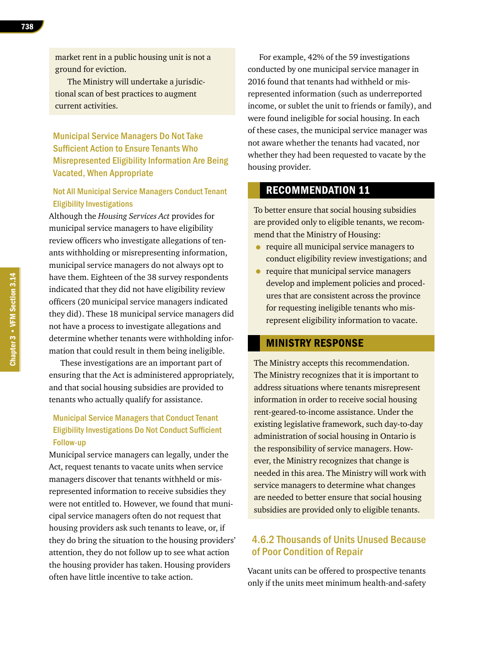market rent in a public housing unit is not a ground for eviction.

The Ministry will undertake a jurisdictional scan of best practices to augment current activities.

Municipal Service Managers Do Not Take Sufficient Action to Ensure Tenants Who Misrepresented Eligibility Information Are Being Vacated, When Appropriate

#### Not All Municipal Service Managers Conduct Tenant Eligibility Investigations

Although the *Housing Services Act* provides for municipal service managers to have eligibility review officers who investigate allegations of tenants withholding or misrepresenting information, municipal service managers do not always opt to have them. Eighteen of the 38 survey respondents indicated that they did not have eligibility review officers (20 municipal service managers indicated they did). These 18 municipal service managers did not have a process to investigate allegations and determine whether tenants were withholding information that could result in them being ineligible.

These investigations are an important part of ensuring that the Act is administered appropriately, and that social housing subsidies are provided to tenants who actually qualify for assistance.

#### Municipal Service Managers that Conduct Tenant Eligibility Investigations Do Not Conduct Sufficient Follow-up

Municipal service managers can legally, under the Act, request tenants to vacate units when service managers discover that tenants withheld or misrepresented information to receive subsidies they were not entitled to. However, we found that municipal service managers often do not request that housing providers ask such tenants to leave, or, if they do bring the situation to the housing providers' attention, they do not follow up to see what action the housing provider has taken. Housing providers often have little incentive to take action.

For example, 42% of the 59 investigations conducted by one municipal service manager in 2016 found that tenants had withheld or misrepresented information (such as underreported income, or sublet the unit to friends or family), and were found ineligible for social housing. In each of these cases, the municipal service manager was not aware whether the tenants had vacated, nor whether they had been requested to vacate by the housing provider.

# RECOMMENDATION 11

To better ensure that social housing subsidies are provided only to eligible tenants, we recommend that the Ministry of Housing:

- require all municipal service managers to conduct eligibility review investigations; and
- require that municipal service managers develop and implement policies and procedures that are consistent across the province for requesting ineligible tenants who misrepresent eligibility information to vacate.

#### MINISTRY RESPONSE

The Ministry accepts this recommendation. The Ministry recognizes that it is important to address situations where tenants misrepresent information in order to receive social housing rent-geared-to-income assistance. Under the existing legislative framework, such day-to-day administration of social housing in Ontario is the responsibility of service managers. However, the Ministry recognizes that change is needed in this area. The Ministry will work with service managers to determine what changes are needed to better ensure that social housing subsidies are provided only to eligible tenants.

# 4.6.2 Thousands of Units Unused Because of Poor Condition of Repair

Vacant units can be offered to prospective tenants only if the units meet minimum health-and-safety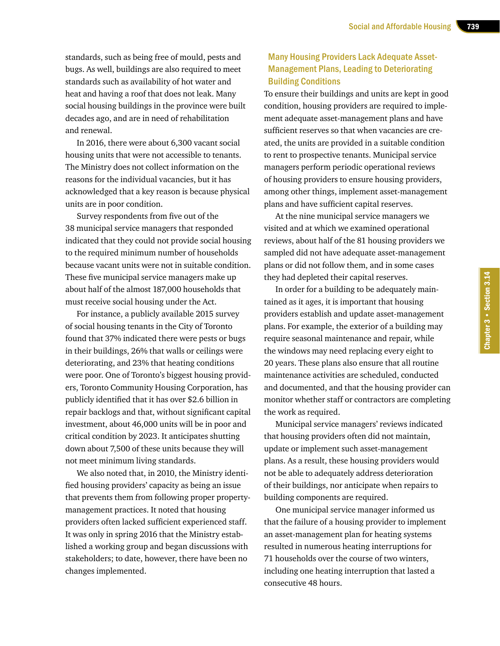standards, such as being free of mould, pests and bugs. As well, buildings are also required to meet standards such as availability of hot water and heat and having a roof that does not leak. Many social housing buildings in the province were built decades ago, and are in need of rehabilitation and renewal.

In 2016, there were about 6,300 vacant social housing units that were not accessible to tenants. The Ministry does not collect information on the reasons for the individual vacancies, but it has acknowledged that a key reason is because physical units are in poor condition.

Survey respondents from five out of the 38 municipal service managers that responded indicated that they could not provide social housing to the required minimum number of households because vacant units were not in suitable condition. These five municipal service managers make up about half of the almost 187,000 households that must receive social housing under the Act.

For instance, a publicly available 2015 survey of social housing tenants in the City of Toronto found that 37% indicated there were pests or bugs in their buildings, 26% that walls or ceilings were deteriorating, and 23% that heating conditions were poor. One of Toronto's biggest housing providers, Toronto Community Housing Corporation, has publicly identified that it has over \$2.6 billion in repair backlogs and that, without significant capital investment, about 46,000 units will be in poor and critical condition by 2023. It anticipates shutting down about 7,500 of these units because they will not meet minimum living standards.

We also noted that, in 2010, the Ministry identified housing providers' capacity as being an issue that prevents them from following proper propertymanagement practices. It noted that housing providers often lacked sufficient experienced staff. It was only in spring 2016 that the Ministry established a working group and began discussions with stakeholders; to date, however, there have been no changes implemented.

# Many Housing Providers Lack Adequate Asset-Management Plans, Leading to Deteriorating Building Conditions

To ensure their buildings and units are kept in good condition, housing providers are required to implement adequate asset-management plans and have sufficient reserves so that when vacancies are created, the units are provided in a suitable condition to rent to prospective tenants. Municipal service managers perform periodic operational reviews of housing providers to ensure housing providers, among other things, implement asset-management plans and have sufficient capital reserves.

At the nine municipal service managers we visited and at which we examined operational reviews, about half of the 81 housing providers we sampled did not have adequate asset-management plans or did not follow them, and in some cases they had depleted their capital reserves.

In order for a building to be adequately maintained as it ages, it is important that housing providers establish and update asset-management plans. For example, the exterior of a building may require seasonal maintenance and repair, while the windows may need replacing every eight to 20 years. These plans also ensure that all routine maintenance activities are scheduled, conducted and documented, and that the housing provider can monitor whether staff or contractors are completing the work as required.

Municipal service managers' reviews indicated that housing providers often did not maintain, update or implement such asset-management plans. As a result, these housing providers would not be able to adequately address deterioration of their buildings, nor anticipate when repairs to building components are required.

One municipal service manager informed us that the failure of a housing provider to implement an asset-management plan for heating systems resulted in numerous heating interruptions for 71 households over the course of two winters, including one heating interruption that lasted a consecutive 48 hours.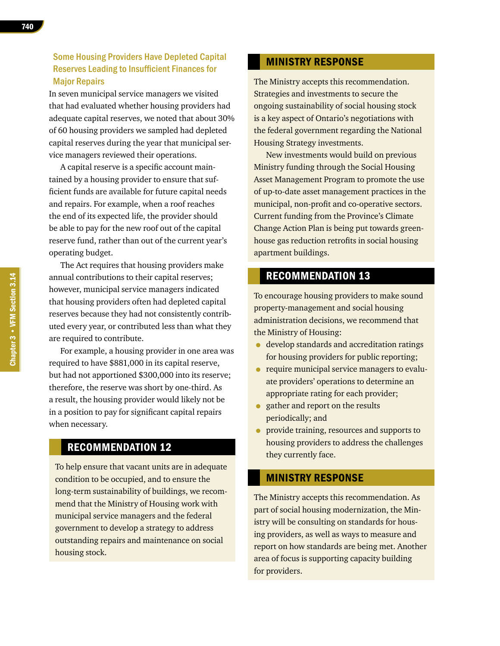740

# Some Housing Providers Have Depleted Capital Reserves Leading to Insufficient Finances for Major Repairs

In seven municipal service managers we visited that had evaluated whether housing providers had adequate capital reserves, we noted that about 30% of 60 housing providers we sampled had depleted capital reserves during the year that municipal service managers reviewed their operations.

A capital reserve is a specific account maintained by a housing provider to ensure that sufficient funds are available for future capital needs and repairs. For example, when a roof reaches the end of its expected life, the provider should be able to pay for the new roof out of the capital reserve fund, rather than out of the current year's operating budget.

The Act requires that housing providers make annual contributions to their capital reserves; however, municipal service managers indicated that housing providers often had depleted capital reserves because they had not consistently contributed every year, or contributed less than what they are required to contribute.

For example, a housing provider in one area was required to have \$881,000 in its capital reserve, but had not apportioned \$300,000 into its reserve; therefore, the reserve was short by one-third. As a result, the housing provider would likely not be in a position to pay for significant capital repairs when necessary.

# RECOMMENDATION 12

To help ensure that vacant units are in adequate condition to be occupied, and to ensure the long-term sustainability of buildings, we recommend that the Ministry of Housing work with municipal service managers and the federal government to develop a strategy to address outstanding repairs and maintenance on social housing stock.

#### MINISTRY RESPONSE

The Ministry accepts this recommendation. Strategies and investments to secure the ongoing sustainability of social housing stock is a key aspect of Ontario's negotiations with the federal government regarding the National Housing Strategy investments.

New investments would build on previous Ministry funding through the Social Housing Asset Management Program to promote the use of up-to-date asset management practices in the municipal, non-profit and co-operative sectors. Current funding from the Province's Climate Change Action Plan is being put towards greenhouse gas reduction retrofits in social housing apartment buildings.

# RECOMMENDATION 13

To encourage housing providers to make sound property-management and social housing administration decisions, we recommend that the Ministry of Housing:

- develop standards and accreditation ratings for housing providers for public reporting;
- require municipal service managers to evaluate providers' operations to determine an appropriate rating for each provider;
- gather and report on the results periodically; and
- provide training, resources and supports to housing providers to address the challenges they currently face.

# MINISTRY RESPONSE

The Ministry accepts this recommendation. As part of social housing modernization, the Ministry will be consulting on standards for housing providers, as well as ways to measure and report on how standards are being met. Another area of focus is supporting capacity building for providers.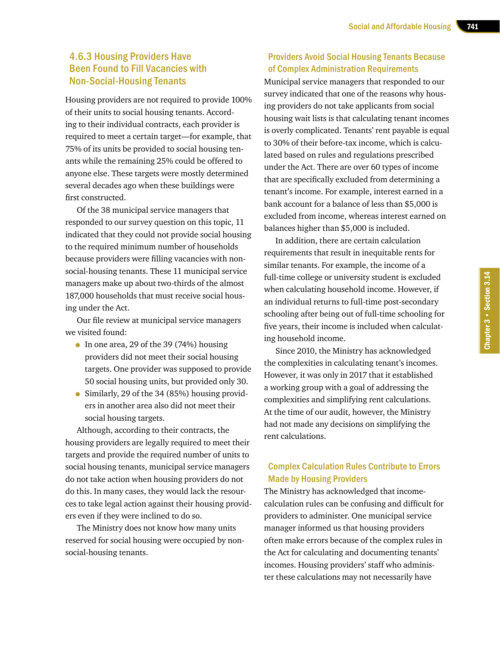# 4.6.3 Housing Providers Have Been Found to Fill Vacancies with Non-Social-Housing Tenants

Housing providers are not required to provide 100% of their units to social housing tenants. According to their individual contracts, each provider is required to meet a certain target—for example, that 75% of its units be provided to social housing tenants while the remaining 25% could be offered to anyone else. These targets were mostly determined several decades ago when these buildings were first constructed.

Of the 38 municipal service managers that responded to our survey question on this topic, 11 indicated that they could not provide social housing to the required minimum number of households because providers were filling vacancies with nonsocial-housing tenants. These 11 municipal service managers make up about two-thirds of the almost 187,000 households that must receive social housing under the Act.

Our file review at municipal service managers we visited found:

- In one area, 29 of the 39 (74%) housing providers did not meet their social housing targets. One provider was supposed to provide 50 social housing units, but provided only 30.
- Similarly, 29 of the 34 (85%) housing providers in another area also did not meet their social housing targets.

Although, according to their contracts, the housing providers are legally required to meet their targets and provide the required number of units to social housing tenants, municipal service managers do not take action when housing providers do not do this. In many cases, they would lack the resources to take legal action against their housing providers even if they were inclined to do so.

The Ministry does not know how many units reserved for social housing were occupied by nonsocial-housing tenants.

# Providers Avoid Social Housing Tenants Because of Complex Administration Requirements

Municipal service managers that responded to our survey indicated that one of the reasons why housing providers do not take applicants from social housing wait lists is that calculating tenant incomes is overly complicated. Tenants' rent payable is equal to 30% of their before-tax income, which is calculated based on rules and regulations prescribed under the Act. There are over 60 types of income that are specifically excluded from determining a tenant's income. For example, interest earned in a bank account for a balance of less than \$5,000 is excluded from income, whereas interest earned on balances higher than \$5,000 is included.

In addition, there are certain calculation requirements that result in inequitable rents for similar tenants. For example, the income of a full-time college or university student is excluded when calculating household income. However, if an individual returns to full-time post-secondary schooling after being out of full-time schooling for five years, their income is included when calculating household income.

Since 2010, the Ministry has acknowledged the complexities in calculating tenant's incomes. However, it was only in 2017 that it established a working group with a goal of addressing the complexities and simplifying rent calculations. At the time of our audit, however, the Ministry had not made any decisions on simplifying the rent calculations.

#### Complex Calculation Rules Contribute to Errors Made by Housing Providers

The Ministry has acknowledged that incomecalculation rules can be confusing and difficult for providers to administer. One municipal service manager informed us that housing providers often make errors because of the complex rules in the Act for calculating and documenting tenants' incomes. Housing providers' staff who administer these calculations may not necessarily have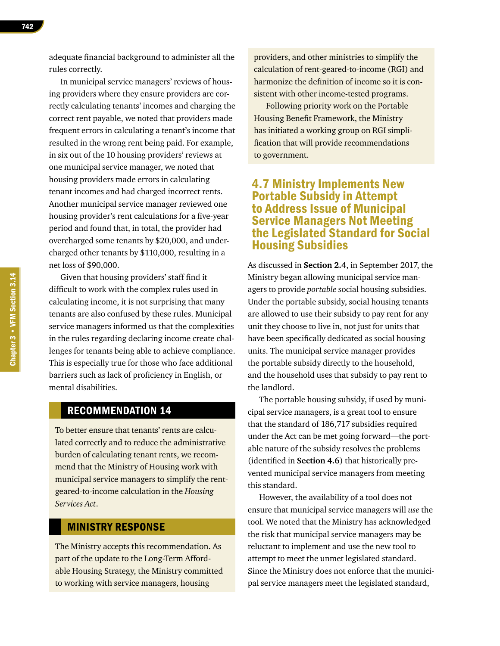adequate financial background to administer all the rules correctly.

In municipal service managers' reviews of housing providers where they ensure providers are correctly calculating tenants' incomes and charging the correct rent payable, we noted that providers made frequent errors in calculating a tenant's income that resulted in the wrong rent being paid. For example, in six out of the 10 housing providers' reviews at one municipal service manager, we noted that housing providers made errors in calculating tenant incomes and had charged incorrect rents. Another municipal service manager reviewed one housing provider's rent calculations for a five-year period and found that, in total, the provider had overcharged some tenants by \$20,000, and undercharged other tenants by \$110,000, resulting in a net loss of \$90,000.

Given that housing providers' staff find it difficult to work with the complex rules used in calculating income, it is not surprising that many tenants are also confused by these rules. Municipal service managers informed us that the complexities in the rules regarding declaring income create challenges for tenants being able to achieve compliance. This is especially true for those who face additional barriers such as lack of proficiency in English, or mental disabilities.

# RECOMMENDATION 14

To better ensure that tenants' rents are calculated correctly and to reduce the administrative burden of calculating tenant rents, we recommend that the Ministry of Housing work with municipal service managers to simplify the rentgeared-to-income calculation in the *Housing Services Act*.

# MINISTRY RESPONSE

The Ministry accepts this recommendation. As part of the update to the Long-Term Affordable Housing Strategy, the Ministry committed to working with service managers, housing

providers, and other ministries to simplify the calculation of rent-geared-to-income (RGI) and harmonize the definition of income so it is consistent with other income-tested programs.

Following priority work on the Portable Housing Benefit Framework, the Ministry has initiated a working group on RGI simplification that will provide recommendations to government.

# 4.7 Ministry Implements New Portable Subsidy in Attempt to Address Issue of Municipal Service Managers Not Meeting the Legislated Standard for Social Housing Subsidies

As discussed in **Section 2.4**, in September 2017, the Ministry began allowing municipal service managers to provide *portable* social housing subsidies. Under the portable subsidy, social housing tenants are allowed to use their subsidy to pay rent for any unit they choose to live in, not just for units that have been specifically dedicated as social housing units. The municipal service manager provides the portable subsidy directly to the household, and the household uses that subsidy to pay rent to the landlord.

The portable housing subsidy, if used by municipal service managers, is a great tool to ensure that the standard of 186,717 subsidies required under the Act can be met going forward—the portable nature of the subsidy resolves the problems (identified in **Section 4.6**) that historically prevented municipal service managers from meeting this standard.

However, the availability of a tool does not ensure that municipal service managers will *use* the tool. We noted that the Ministry has acknowledged the risk that municipal service managers may be reluctant to implement and use the new tool to attempt to meet the unmet legislated standard. Since the Ministry does not enforce that the municipal service managers meet the legislated standard,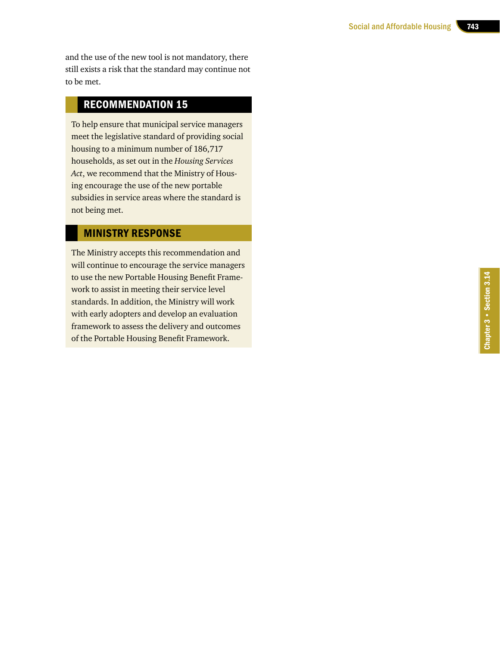and the use of the new tool is not mandatory, there still exists a risk that the standard may continue not to be met.

# RECOMMENDATION 15

To help ensure that municipal service managers meet the legislative standard of providing social housing to a minimum number of 186,717 households, as set out in the *Housing Services Act*, we recommend that the Ministry of Hous ing encourage the use of the new portable subsidies in service areas where the standard is not being met.

# MINISTRY RESPONSE

The Ministry accepts this recommendation and will continue to encourage the service managers to use the new Portable Housing Benefit Frame work to assist in meeting their service level standards. In addition, the Ministry will work with early adopters and develop an evaluation framework to assess the delivery and outcomes of the Portable Housing Benefit Framework.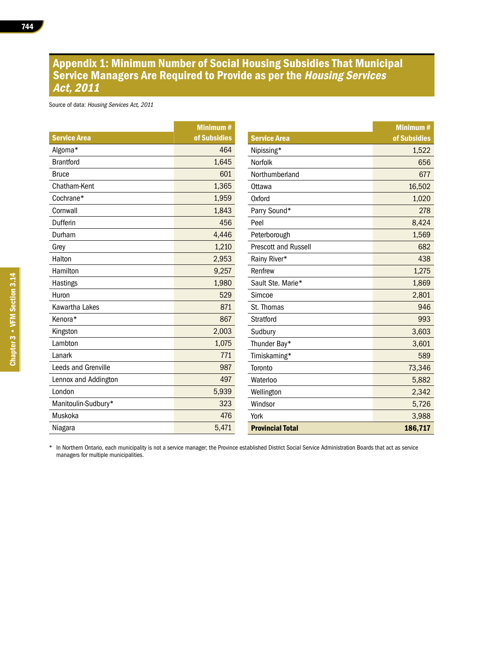# Appendix 1: Minimum Number of Social Housing Subsidies That Municipal Service Managers Are Required to Provide as per the Housing Services Act, 2011

Source of data: Housing Services Act, 2011

|                            | <b>Minimum#</b> |  |
|----------------------------|-----------------|--|
| <b>Service Area</b>        | of Subsidies    |  |
| Algoma*                    | 464             |  |
| <b>Brantford</b>           | 1,645           |  |
| <b>Bruce</b>               | 601             |  |
| Chatham-Kent               | 1,365           |  |
| Cochrane*                  | 1,959           |  |
| Cornwall                   | 1,843           |  |
| Dufferin                   | 456             |  |
| Durham                     | 4,446           |  |
| Grey                       | 1,210           |  |
| Halton                     | 2,953           |  |
| Hamilton                   | 9,257           |  |
| <b>Hastings</b>            | 1,980           |  |
| Huron                      | 529             |  |
| Kawartha Lakes             | 871             |  |
| Kenora*                    | 867             |  |
| Kingston                   | 2,003           |  |
| Lambton                    | 1,075           |  |
| Lanark                     | 771             |  |
| <b>Leeds and Grenville</b> | 987             |  |
| Lennox and Addington       | 497             |  |
| London                     | 5,939           |  |
| Manitoulin-Sudbury*        | 323             |  |
| Muskoka                    | 476             |  |
| Niagara                    | 5,471           |  |

| <b>Service Area</b>         | <b>Minimum#</b><br>of Subsidies |
|-----------------------------|---------------------------------|
| Nipissing*                  | 1,522                           |
| Norfolk                     | 656                             |
| Northumberland              | 677                             |
| Ottawa                      | 16,502                          |
| Oxford                      | 1,020                           |
| Parry Sound*                | 278                             |
| Peel                        | 8,424                           |
| Peterborough                | 1,569                           |
| <b>Prescott and Russell</b> | 682                             |
| Rainy River*                | 438                             |
| Renfrew                     | 1,275                           |
| Sault Ste. Marie*           | 1,869                           |
| Simcoe                      | 2,801                           |
| St. Thomas                  | 946                             |
| Stratford                   | 993                             |
| Sudbury                     | 3,603                           |
| Thunder Bay*                | 3,601                           |
| Timiskaming*                | 589                             |
| Toronto                     | 73,346                          |
| Waterloo                    | 5,882                           |
| Wellington                  | 2,342                           |
| Windsor                     | 5,726                           |
| York                        | 3,988                           |
| <b>Provincial Total</b>     | 186,717                         |

\* In Northern Ontario, each municipality is not a service manager; the Province established District Social Service Administration Boards that act as service managers for multiple municipalities.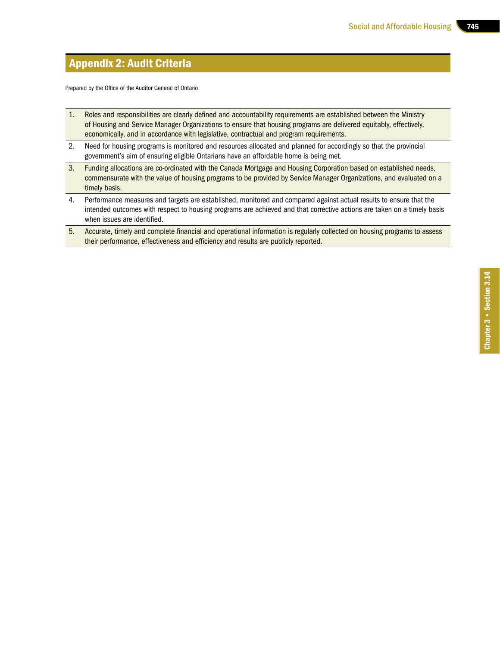# Appendix 2: Audit Criteria

Prepared by the Office of the Auditor General of Ontario

- 1. Roles and responsibilities are clearly defined and accountability requirements are established between the Ministry of Housing and Service Manager Organizations to ensure that housing programs are delivered equitably, effectively, economically, and in accordance with legislative, contractual and program requirements.
- 2. Need for housing programs is monitored and resources allocated and planned for accordingly so that the provincial government's aim of ensuring eligible Ontarians have an affordable home is being met.
- 3. Funding allocations are co-ordinated with the Canada Mortgage and Housing Corporation based on established needs, commensurate with the value of housing programs to be provided by Service Manager Organizations, and evaluated on a timely basis.
- 4. Performance measures and targets are established, monitored and compared against actual results to ensure that the intended outcomes with respect to housing programs are achieved and that corrective actions are taken on a timely basis when issues are identified.
- 5. Accurate, timely and complete financial and operational information is regularly collected on housing programs to assess their performance, effectiveness and efficiency and results are publicly reported.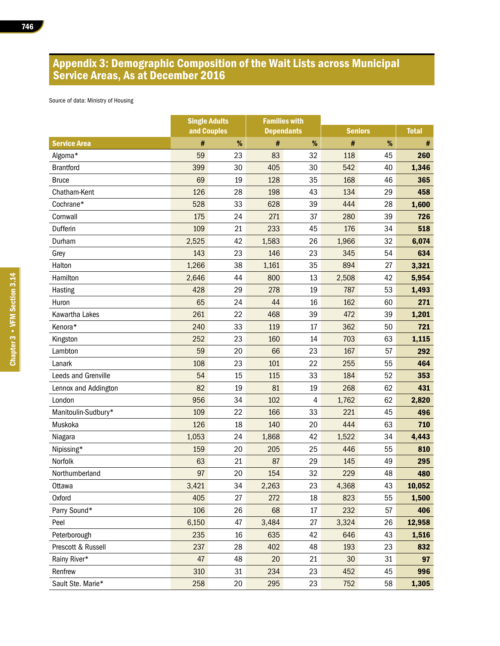# Appendix 3: Demographic Composition of the Wait Lists across Municipal Service Areas, As at December 2016

Source of data: Ministry of Housing

|                      | <b>Single Adults</b> |    | <b>Families with</b> |    |                |    |              |  |
|----------------------|----------------------|----|----------------------|----|----------------|----|--------------|--|
|                      | and Couples          |    | <b>Dependants</b>    |    | <b>Seniors</b> |    | <b>Total</b> |  |
| <b>Service Area</b>  | #                    | %  | #                    | %  | #              | %  | #            |  |
| Algoma*              | 59                   | 23 | 83                   | 32 | 118            | 45 | 260          |  |
| <b>Brantford</b>     | 399                  | 30 | 405                  | 30 | 542            | 40 | 1,346        |  |
| <b>Bruce</b>         | 69                   | 19 | 128                  | 35 | 168            | 46 | 365          |  |
| Chatham-Kent         | 126                  | 28 | 198                  | 43 | 134            | 29 | 458          |  |
| Cochrane*            | 528                  | 33 | 628                  | 39 | 444            | 28 | 1,600        |  |
| Cornwall             | 175                  | 24 | 271                  | 37 | 280            | 39 | 726          |  |
| Dufferin             | 109                  | 21 | 233                  | 45 | 176            | 34 | 518          |  |
| Durham               | 2,525                | 42 | 1,583                | 26 | 1,966          | 32 | 6,074        |  |
| Grey                 | 143                  | 23 | 146                  | 23 | 345            | 54 | 634          |  |
| Halton               | 1,266                | 38 | 1,161                | 35 | 894            | 27 | 3,321        |  |
| Hamilton             | 2,646                | 44 | 800                  | 13 | 2,508          | 42 | 5,954        |  |
| Hasting              | 428                  | 29 | 278                  | 19 | 787            | 53 | 1,493        |  |
| Huron                | 65                   | 24 | 44                   | 16 | 162            | 60 | 271          |  |
| Kawartha Lakes       | 261                  | 22 | 468                  | 39 | 472            | 39 | 1,201        |  |
| Kenora*              | 240                  | 33 | 119                  | 17 | 362            | 50 | 721          |  |
| Kingston             | 252                  | 23 | 160                  | 14 | 703            | 63 | 1,115        |  |
| Lambton              | 59                   | 20 | 66                   | 23 | 167            | 57 | 292          |  |
| Lanark               | 108                  | 23 | 101                  | 22 | 255            | 55 | 464          |  |
| Leeds and Grenville  | 54                   | 15 | 115                  | 33 | 184            | 52 | 353          |  |
| Lennox and Addington | 82                   | 19 | 81                   | 19 | 268            | 62 | 431          |  |
| London               | 956                  | 34 | 102                  | 4  | 1,762          | 62 | 2,820        |  |
| Manitoulin-Sudbury*  | 109                  | 22 | 166                  | 33 | 221            | 45 | 496          |  |
| Muskoka              | 126                  | 18 | 140                  | 20 | 444            | 63 | 710          |  |
| Niagara              | 1,053                | 24 | 1,868                | 42 | 1,522          | 34 | 4,443        |  |
| Nipissing*           | 159                  | 20 | 205                  | 25 | 446            | 55 | 810          |  |
| Norfolk              | 63                   | 21 | 87                   | 29 | 145            | 49 | 295          |  |
| Northumberland       | 97                   | 20 | 154                  | 32 | 229            | 48 | 480          |  |
| Ottawa               | 3,421                | 34 | 2,263                | 23 | 4,368          | 43 | 10,052       |  |
| Oxford               | 405                  | 27 | 272                  | 18 | 823            | 55 | 1,500        |  |
| Parry Sound*         | 106                  | 26 | 68                   | 17 | 232            | 57 | 406          |  |
| Peel                 | 6,150                | 47 | 3,484                | 27 | 3,324          | 26 | 12,958       |  |
| Peterborough         | 235                  | 16 | 635                  | 42 | 646            | 43 | 1,516        |  |
| Prescott & Russell   | 237                  | 28 | 402                  | 48 | 193            | 23 | 832          |  |
| Rainy River*         | 47                   | 48 | 20                   | 21 | 30             | 31 | 97           |  |
| Renfrew              | 310                  | 31 | 234                  | 23 | 452            | 45 | 996          |  |
| Sault Ste. Marie*    | 258                  | 20 | 295                  | 23 | 752            | 58 | 1,305        |  |